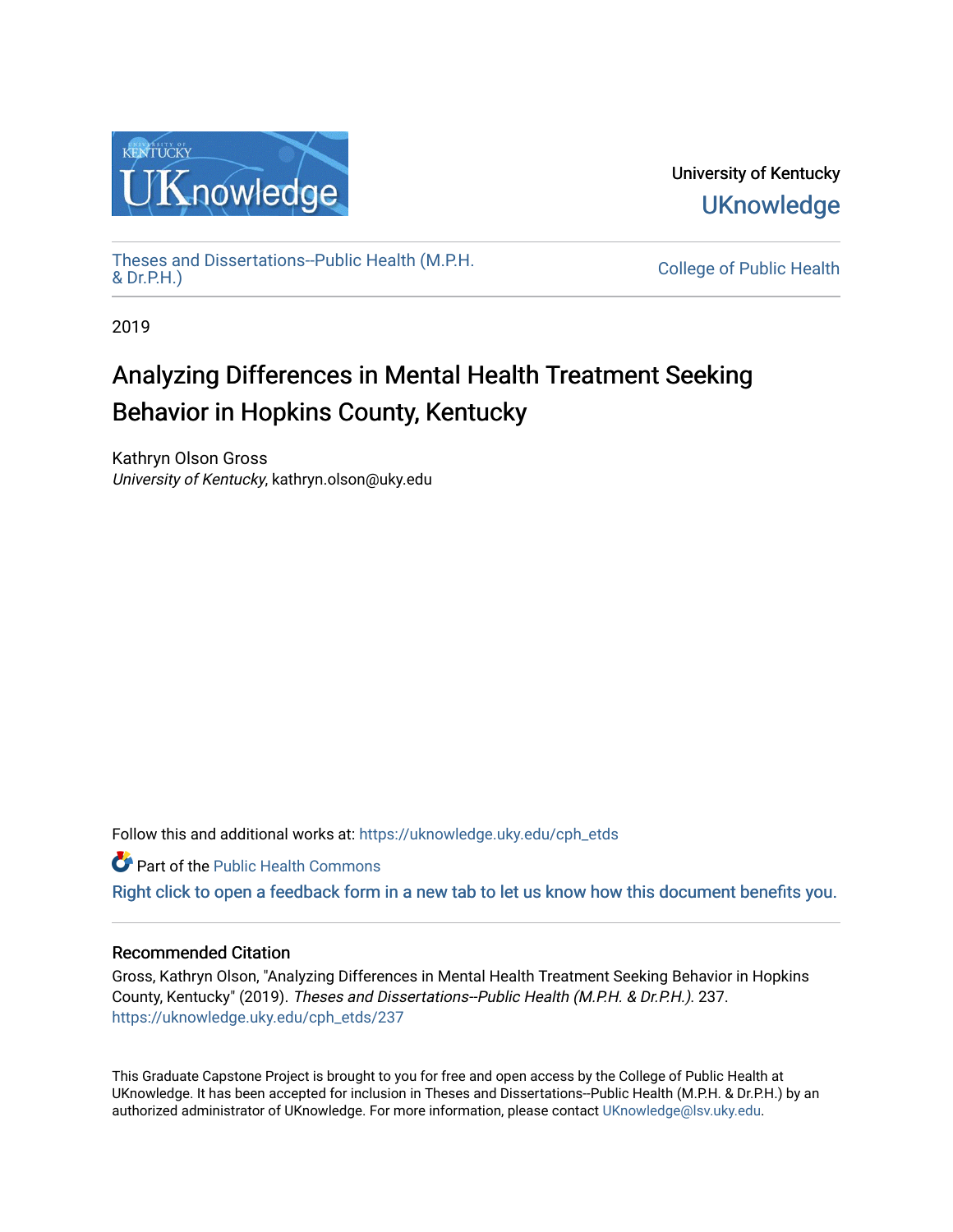

University of Kentucky **UKnowledge** 

[Theses and Dissertations--Public Health \(M.P.H.](https://uknowledge.uky.edu/cph_etds) & Dr.P.H.)

College of Public Health

2019

# Analyzing Differences in Mental Health Treatment Seeking Behavior in Hopkins County, Kentucky

Kathryn Olson Gross University of Kentucky, kathryn.olson@uky.edu

Follow this and additional works at: [https://uknowledge.uky.edu/cph\\_etds](https://uknowledge.uky.edu/cph_etds?utm_source=uknowledge.uky.edu%2Fcph_etds%2F237&utm_medium=PDF&utm_campaign=PDFCoverPages) 

Part of the [Public Health Commons](http://network.bepress.com/hgg/discipline/738?utm_source=uknowledge.uky.edu%2Fcph_etds%2F237&utm_medium=PDF&utm_campaign=PDFCoverPages) 

[Right click to open a feedback form in a new tab to let us know how this document benefits you.](https://uky.az1.qualtrics.com/jfe/form/SV_9mq8fx2GnONRfz7)

## Recommended Citation

Gross, Kathryn Olson, "Analyzing Differences in Mental Health Treatment Seeking Behavior in Hopkins County, Kentucky" (2019). Theses and Dissertations--Public Health (M.P.H. & Dr.P.H.). 237. [https://uknowledge.uky.edu/cph\\_etds/237](https://uknowledge.uky.edu/cph_etds/237?utm_source=uknowledge.uky.edu%2Fcph_etds%2F237&utm_medium=PDF&utm_campaign=PDFCoverPages) 

This Graduate Capstone Project is brought to you for free and open access by the College of Public Health at UKnowledge. It has been accepted for inclusion in Theses and Dissertations--Public Health (M.P.H. & Dr.P.H.) by an authorized administrator of UKnowledge. For more information, please contact [UKnowledge@lsv.uky.edu](mailto:UKnowledge@lsv.uky.edu).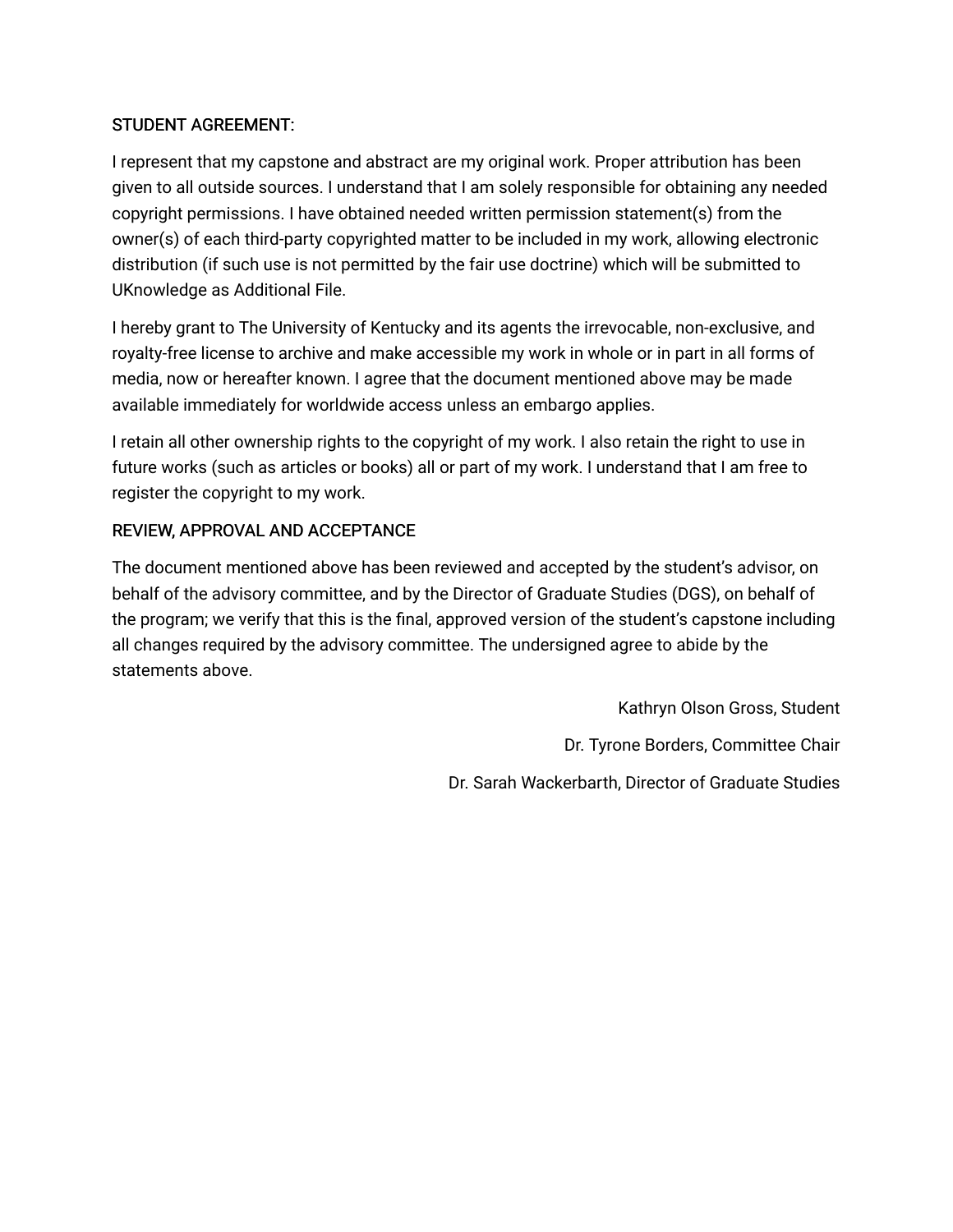## STUDENT AGREEMENT:

I represent that my capstone and abstract are my original work. Proper attribution has been given to all outside sources. I understand that I am solely responsible for obtaining any needed copyright permissions. I have obtained needed written permission statement(s) from the owner(s) of each third-party copyrighted matter to be included in my work, allowing electronic distribution (if such use is not permitted by the fair use doctrine) which will be submitted to UKnowledge as Additional File.

I hereby grant to The University of Kentucky and its agents the irrevocable, non-exclusive, and royalty-free license to archive and make accessible my work in whole or in part in all forms of media, now or hereafter known. I agree that the document mentioned above may be made available immediately for worldwide access unless an embargo applies.

I retain all other ownership rights to the copyright of my work. I also retain the right to use in future works (such as articles or books) all or part of my work. I understand that I am free to register the copyright to my work.

## REVIEW, APPROVAL AND ACCEPTANCE

The document mentioned above has been reviewed and accepted by the student's advisor, on behalf of the advisory committee, and by the Director of Graduate Studies (DGS), on behalf of the program; we verify that this is the final, approved version of the student's capstone including all changes required by the advisory committee. The undersigned agree to abide by the statements above.

> Kathryn Olson Gross, Student Dr. Tyrone Borders, Committee Chair Dr. Sarah Wackerbarth, Director of Graduate Studies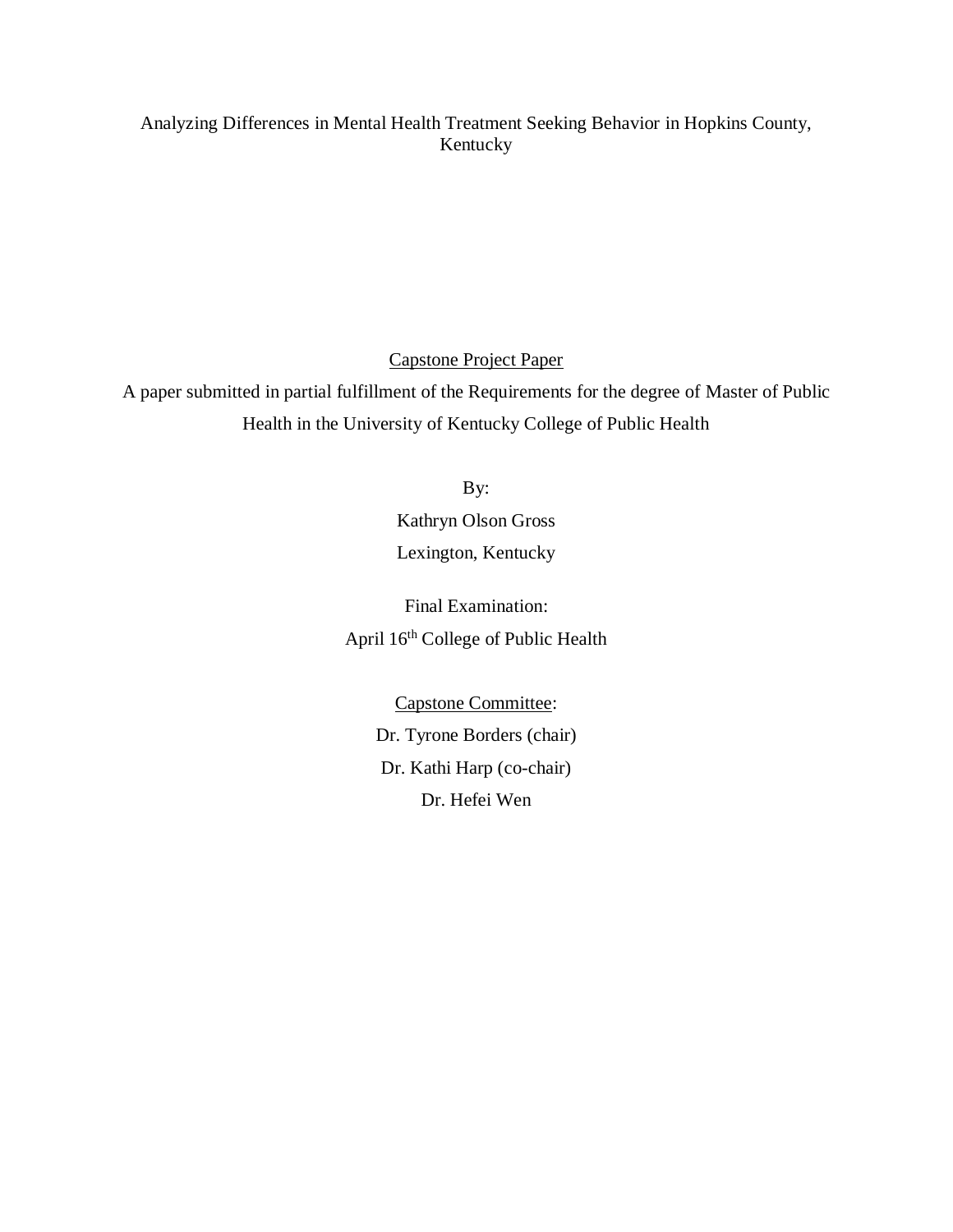## Analyzing Differences in Mental Health Treatment Seeking Behavior in Hopkins County, Kentucky

Capstone Project Paper

A paper submitted in partial fulfillment of the Requirements for the degree of Master of Public Health in the University of Kentucky College of Public Health

By:

Kathryn Olson Gross Lexington, Kentucky

Final Examination: April 16th College of Public Health

> Capstone Committee: Dr. Tyrone Borders (chair) Dr. Kathi Harp (co-chair) Dr. Hefei Wen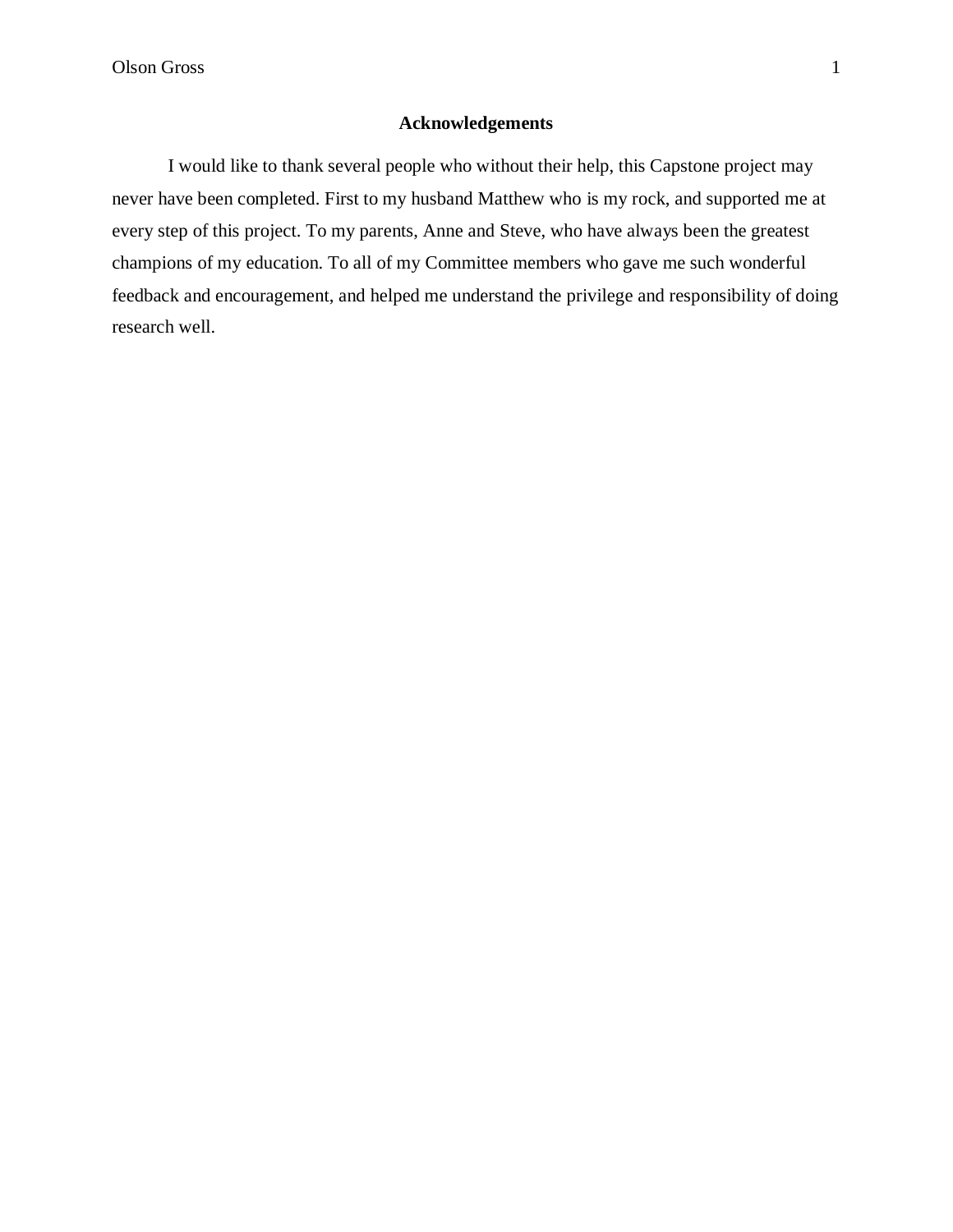## **Acknowledgements**

I would like to thank several people who without their help, this Capstone project may never have been completed. First to my husband Matthew who is my rock, and supported me at every step of this project. To my parents, Anne and Steve, who have always been the greatest champions of my education. To all of my Committee members who gave me such wonderful feedback and encouragement, and helped me understand the privilege and responsibility of doing research well.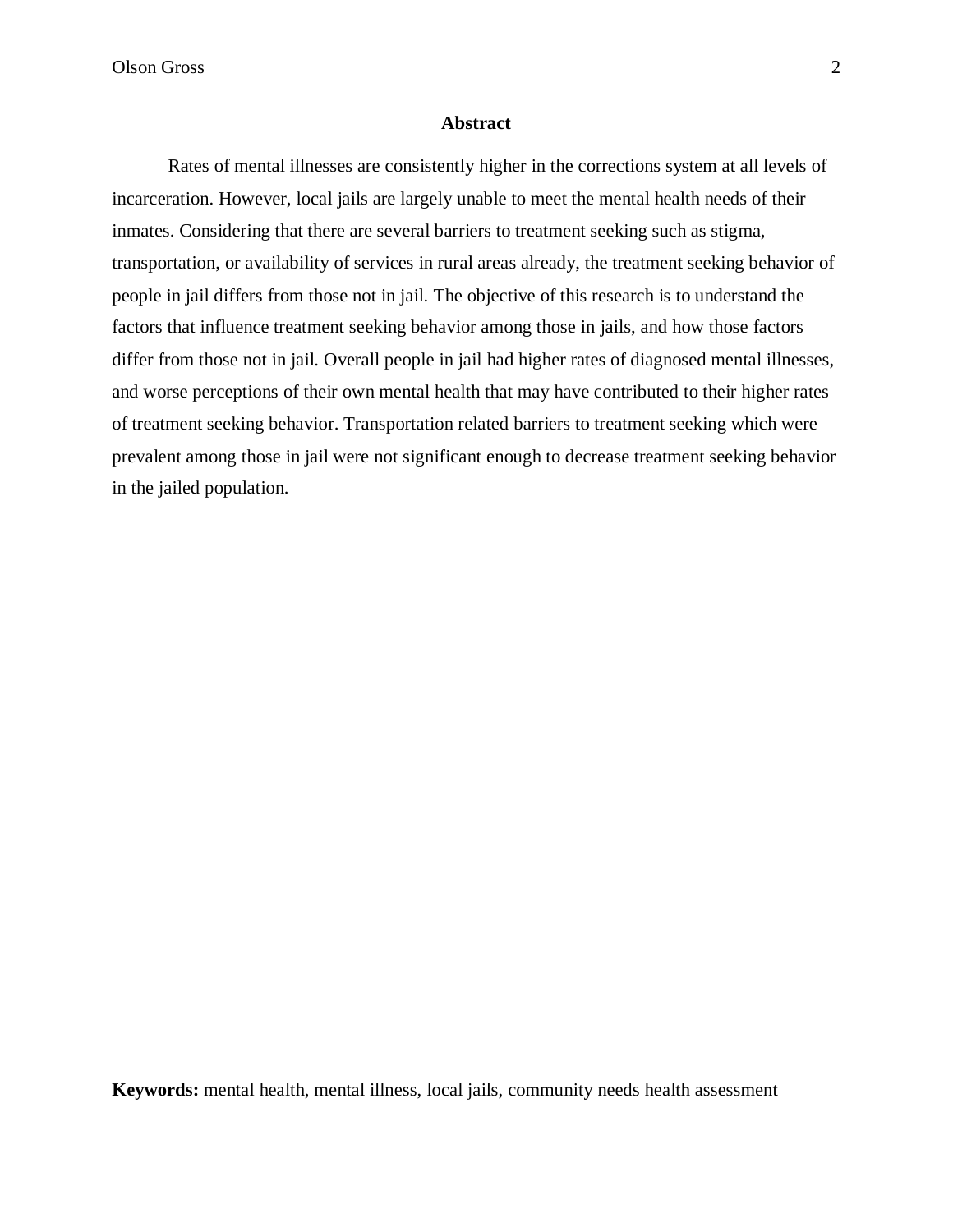Olson Gross 2

## **Abstract**

Rates of mental illnesses are consistently higher in the corrections system at all levels of incarceration. However, local jails are largely unable to meet the mental health needs of their inmates. Considering that there are several barriers to treatment seeking such as stigma, transportation, or availability of services in rural areas already, the treatment seeking behavior of people in jail differs from those not in jail. The objective of this research is to understand the factors that influence treatment seeking behavior among those in jails, and how those factors differ from those not in jail. Overall people in jail had higher rates of diagnosed mental illnesses, and worse perceptions of their own mental health that may have contributed to their higher rates of treatment seeking behavior. Transportation related barriers to treatment seeking which were prevalent among those in jail were not significant enough to decrease treatment seeking behavior in the jailed population.

**Keywords:** mental health, mental illness, local jails, community needs health assessment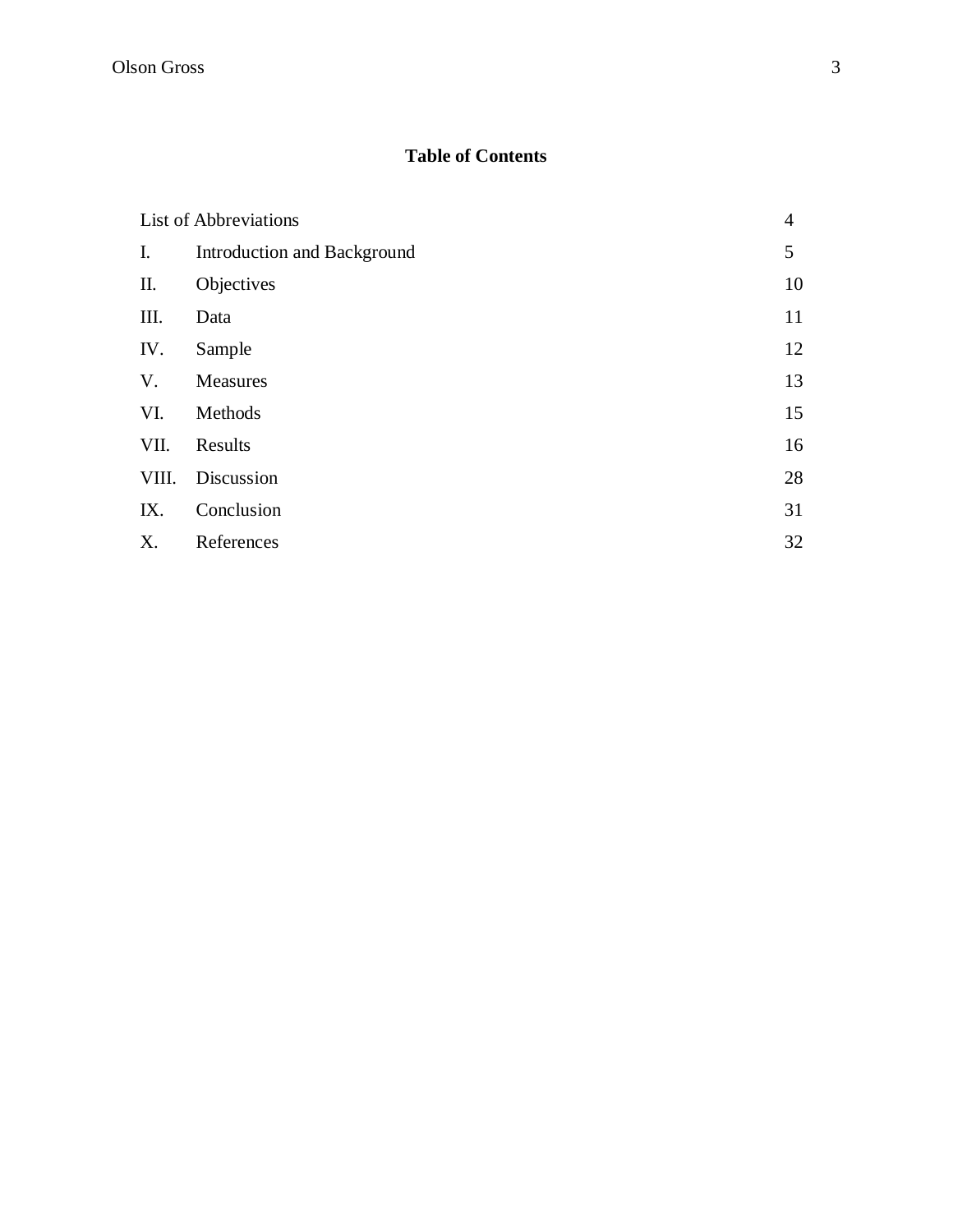## **Table of Contents**

|       | <b>List of Abbreviations</b> | $\overline{4}$ |
|-------|------------------------------|----------------|
| I.    | Introduction and Background  | 5              |
| П.    | Objectives                   | 10             |
| III.  | Data                         | 11             |
| IV.   | Sample                       | 12             |
| V.    | Measures                     | 13             |
| VI.   | Methods                      | 15             |
| VII.  | Results                      | 16             |
| VIII. | Discussion                   | 28             |
| IX.   | Conclusion                   | 31             |
| X.    | References                   | 32             |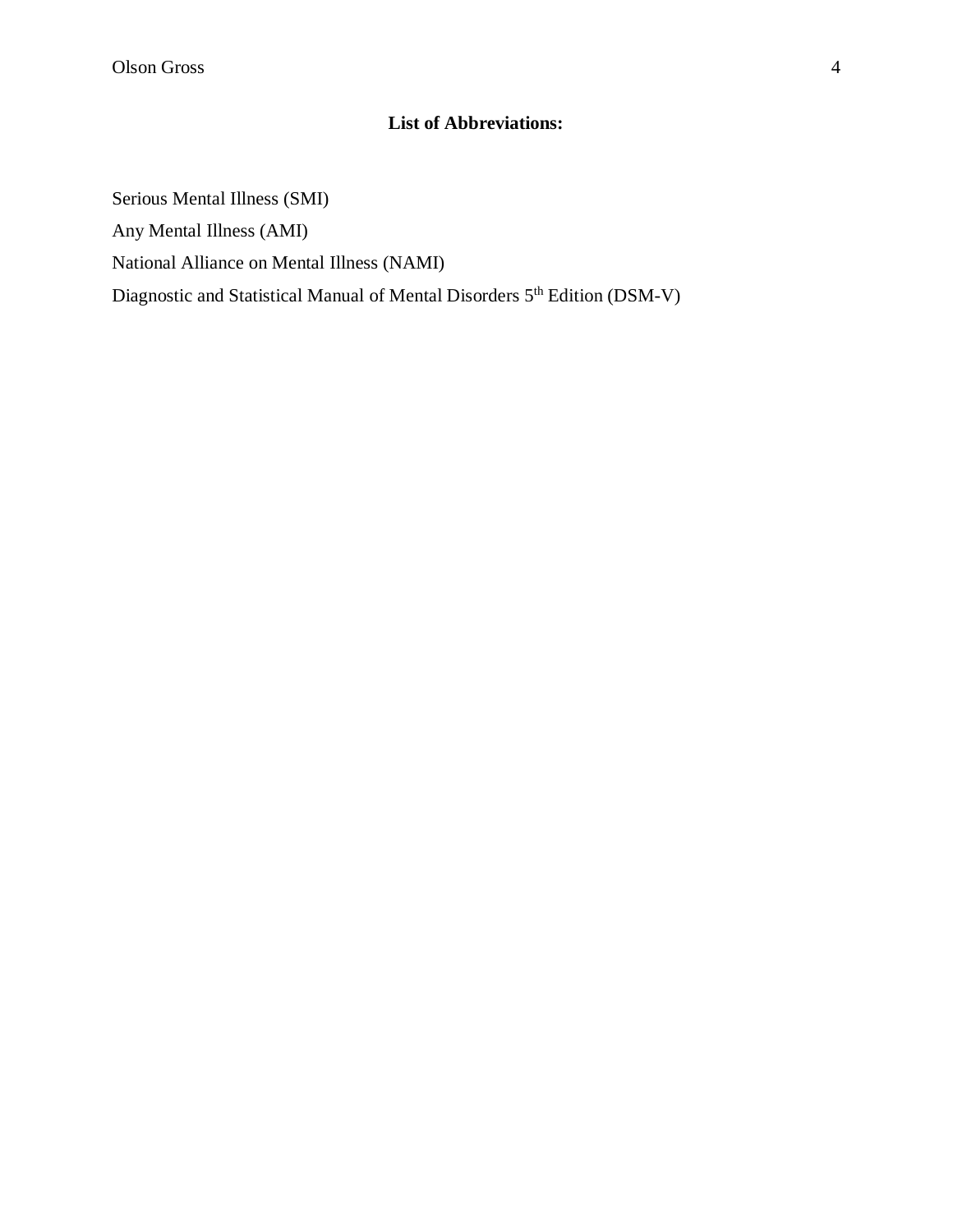## **List of Abbreviations:**

Serious Mental Illness (SMI) Any Mental Illness (AMI) National Alliance on Mental Illness (NAMI) Diagnostic and Statistical Manual of Mental Disorders 5th Edition (DSM-V)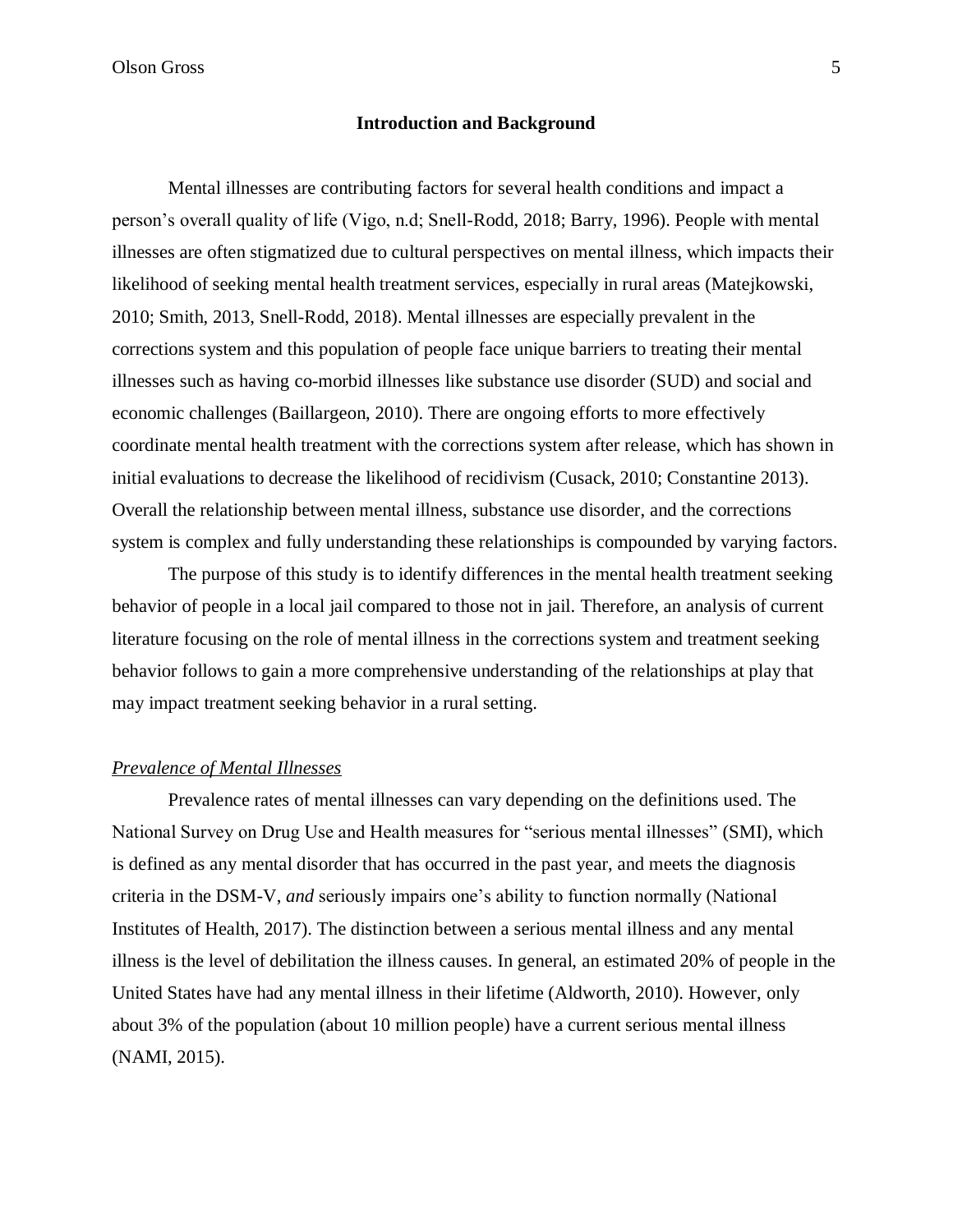Olson Gross 5

## **Introduction and Background**

Mental illnesses are contributing factors for several health conditions and impact a person's overall quality of life (Vigo, n.d; Snell-Rodd, 2018; Barry, 1996). People with mental illnesses are often stigmatized due to cultural perspectives on mental illness, which impacts their likelihood of seeking mental health treatment services, especially in rural areas (Matejkowski, 2010; Smith, 2013, Snell-Rodd, 2018). Mental illnesses are especially prevalent in the corrections system and this population of people face unique barriers to treating their mental illnesses such as having co-morbid illnesses like substance use disorder (SUD) and social and economic challenges (Baillargeon, 2010). There are ongoing efforts to more effectively coordinate mental health treatment with the corrections system after release, which has shown in initial evaluations to decrease the likelihood of recidivism (Cusack, 2010; Constantine 2013). Overall the relationship between mental illness, substance use disorder, and the corrections system is complex and fully understanding these relationships is compounded by varying factors.

The purpose of this study is to identify differences in the mental health treatment seeking behavior of people in a local jail compared to those not in jail. Therefore, an analysis of current literature focusing on the role of mental illness in the corrections system and treatment seeking behavior follows to gain a more comprehensive understanding of the relationships at play that may impact treatment seeking behavior in a rural setting.

## *Prevalence of Mental Illnesses*

Prevalence rates of mental illnesses can vary depending on the definitions used. The National Survey on Drug Use and Health measures for "serious mental illnesses" (SMI), which is defined as any mental disorder that has occurred in the past year, and meets the diagnosis criteria in the DSM-V, *and* seriously impairs one's ability to function normally (National Institutes of Health, 2017). The distinction between a serious mental illness and any mental illness is the level of debilitation the illness causes. In general, an estimated 20% of people in the United States have had any mental illness in their lifetime (Aldworth, 2010). However, only about 3% of the population (about 10 million people) have a current serious mental illness (NAMI, 2015).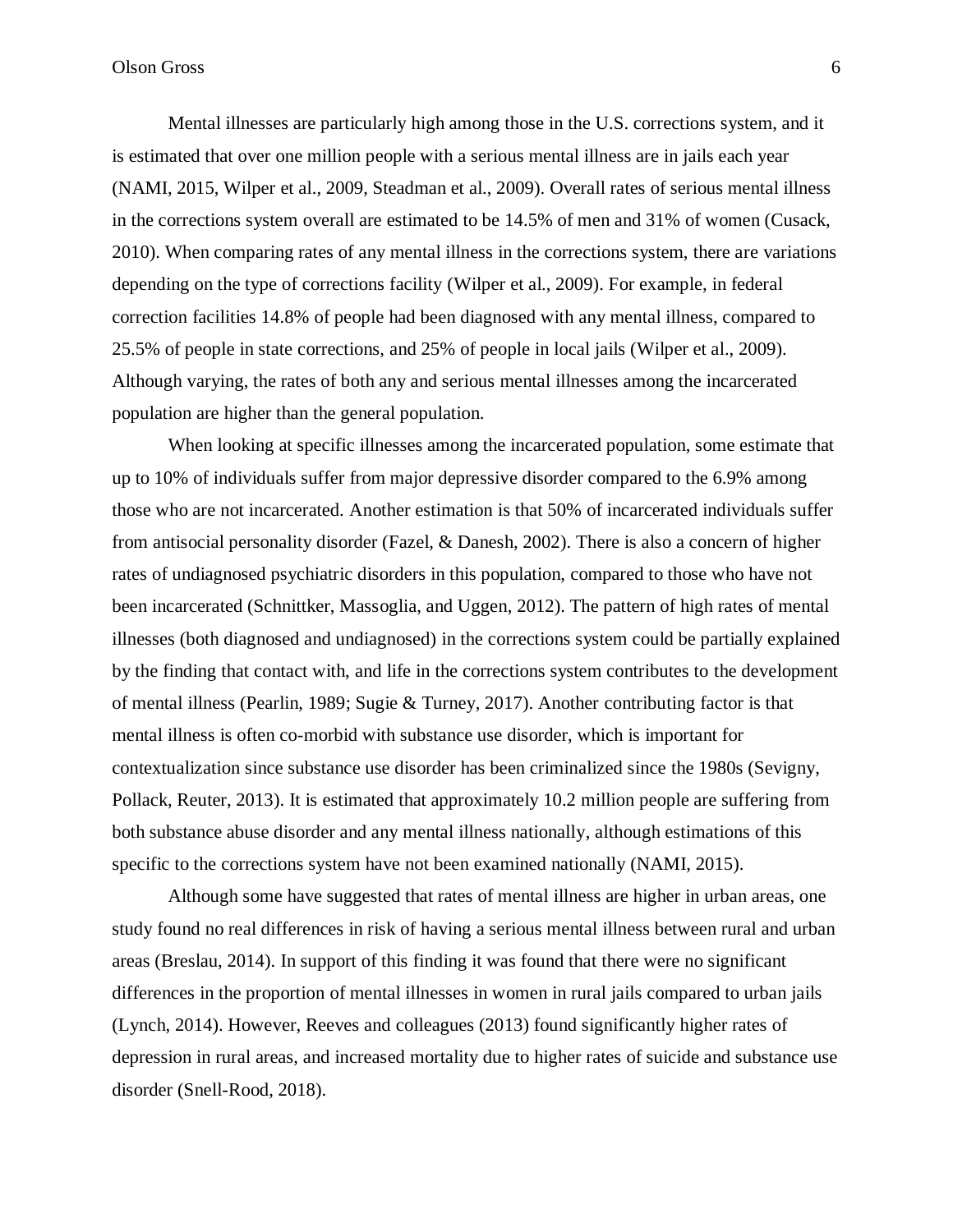Mental illnesses are particularly high among those in the U.S. corrections system, and it is estimated that over one million people with a serious mental illness are in jails each year (NAMI, 2015, Wilper et al., 2009, Steadman et al., 2009). Overall rates of serious mental illness in the corrections system overall are estimated to be 14.5% of men and 31% of women (Cusack, 2010). When comparing rates of any mental illness in the corrections system, there are variations depending on the type of corrections facility (Wilper et al., 2009). For example, in federal correction facilities 14.8% of people had been diagnosed with any mental illness, compared to 25.5% of people in state corrections, and 25% of people in local jails (Wilper et al., 2009). Although varying, the rates of both any and serious mental illnesses among the incarcerated population are higher than the general population.

When looking at specific illnesses among the incarcerated population, some estimate that up to 10% of individuals suffer from major depressive disorder compared to the 6.9% among those who are not incarcerated. Another estimation is that 50% of incarcerated individuals suffer from antisocial personality disorder (Fazel, & Danesh, 2002). There is also a concern of higher rates of undiagnosed psychiatric disorders in this population, compared to those who have not been incarcerated (Schnittker, Massoglia, and Uggen, 2012). The pattern of high rates of mental illnesses (both diagnosed and undiagnosed) in the corrections system could be partially explained by the finding that contact with, and life in the corrections system contributes to the development of mental illness (Pearlin, 1989; Sugie & Turney, 2017). Another contributing factor is that mental illness is often co-morbid with substance use disorder, which is important for contextualization since substance use disorder has been criminalized since the 1980s (Sevigny, Pollack, Reuter, 2013). It is estimated that approximately 10.2 million people are suffering from both substance abuse disorder and any mental illness nationally, although estimations of this specific to the corrections system have not been examined nationally (NAMI, 2015).

Although some have suggested that rates of mental illness are higher in urban areas, one study found no real differences in risk of having a serious mental illness between rural and urban areas (Breslau, 2014). In support of this finding it was found that there were no significant differences in the proportion of mental illnesses in women in rural jails compared to urban jails (Lynch, 2014). However, Reeves and colleagues (2013) found significantly higher rates of depression in rural areas, and increased mortality due to higher rates of suicide and substance use disorder (Snell-Rood, 2018).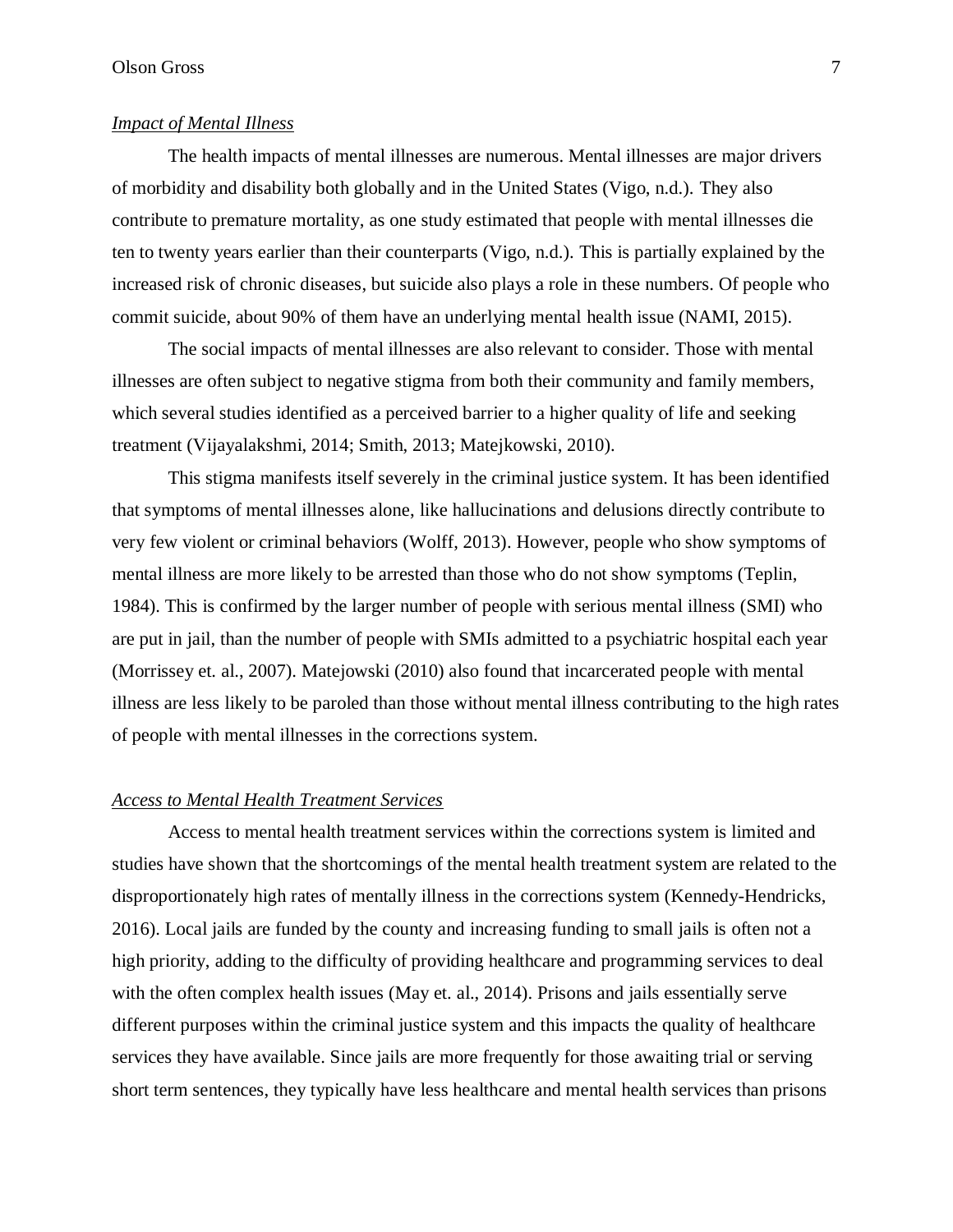## *Impact of Mental Illness*

The health impacts of mental illnesses are numerous. Mental illnesses are major drivers of morbidity and disability both globally and in the United States (Vigo, n.d.). They also contribute to premature mortality, as one study estimated that people with mental illnesses die ten to twenty years earlier than their counterparts (Vigo, n.d.). This is partially explained by the increased risk of chronic diseases, but suicide also plays a role in these numbers. Of people who commit suicide, about 90% of them have an underlying mental health issue (NAMI, 2015).

The social impacts of mental illnesses are also relevant to consider. Those with mental illnesses are often subject to negative stigma from both their community and family members, which several studies identified as a perceived barrier to a higher quality of life and seeking treatment (Vijayalakshmi, 2014; Smith, 2013; Matejkowski, 2010).

This stigma manifests itself severely in the criminal justice system. It has been identified that symptoms of mental illnesses alone, like hallucinations and delusions directly contribute to very few violent or criminal behaviors (Wolff, 2013). However, people who show symptoms of mental illness are more likely to be arrested than those who do not show symptoms (Teplin, 1984). This is confirmed by the larger number of people with serious mental illness (SMI) who are put in jail, than the number of people with SMIs admitted to a psychiatric hospital each year (Morrissey et. al., 2007). Matejowski (2010) also found that incarcerated people with mental illness are less likely to be paroled than those without mental illness contributing to the high rates of people with mental illnesses in the corrections system.

## *Access to Mental Health Treatment Services*

Access to mental health treatment services within the corrections system is limited and studies have shown that the shortcomings of the mental health treatment system are related to the disproportionately high rates of mentally illness in the corrections system (Kennedy-Hendricks, 2016). Local jails are funded by the county and increasing funding to small jails is often not a high priority, adding to the difficulty of providing healthcare and programming services to deal with the often complex health issues (May et. al., 2014). Prisons and jails essentially serve different purposes within the criminal justice system and this impacts the quality of healthcare services they have available. Since jails are more frequently for those awaiting trial or serving short term sentences, they typically have less healthcare and mental health services than prisons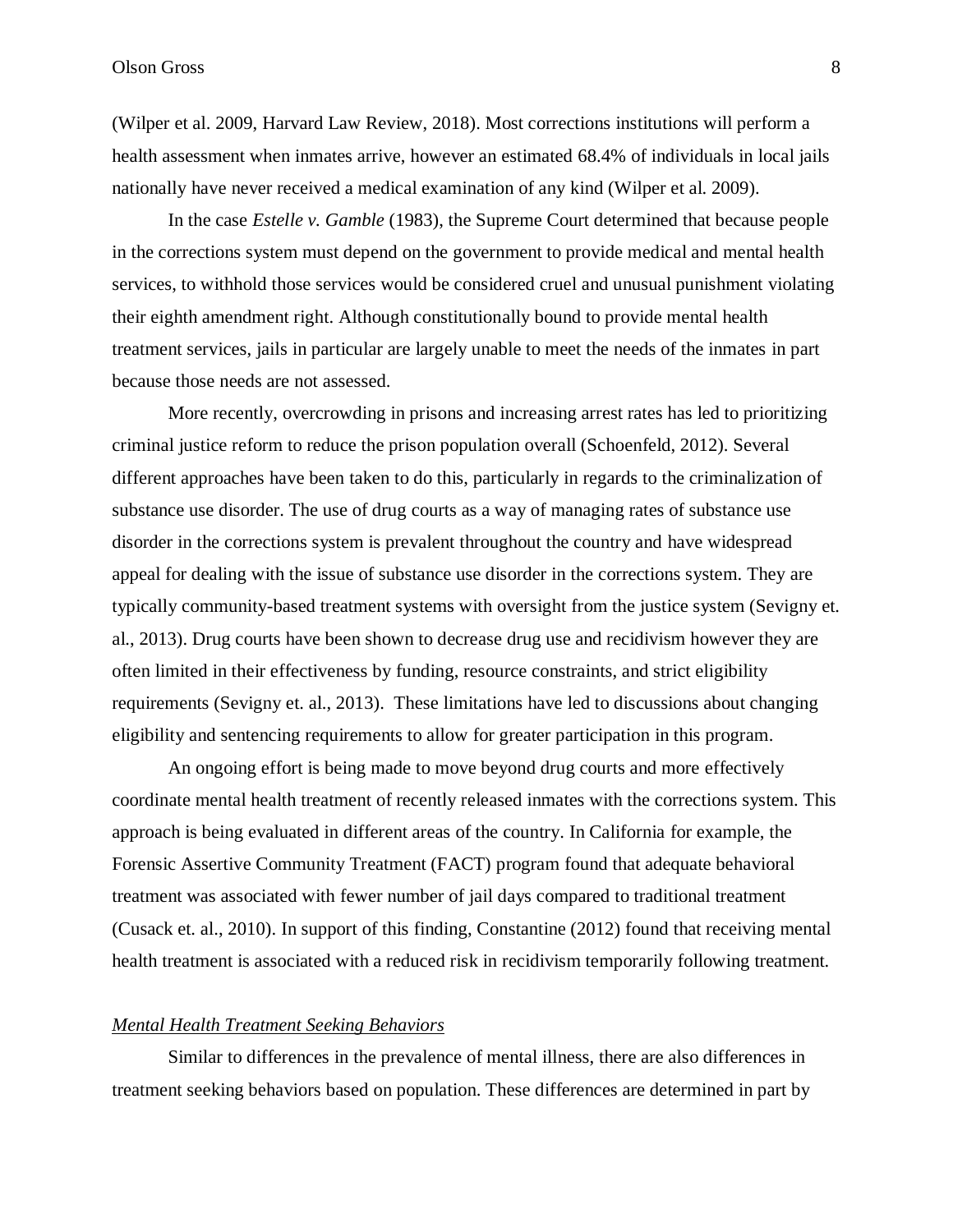(Wilper et al. 2009, Harvard Law Review, 2018). Most corrections institutions will perform a health assessment when inmates arrive, however an estimated 68.4% of individuals in local jails nationally have never received a medical examination of any kind (Wilper et al. 2009).

In the case *Estelle v. Gamble* (1983), the Supreme Court determined that because people in the corrections system must depend on the government to provide medical and mental health services, to withhold those services would be considered cruel and unusual punishment violating their eighth amendment right. Although constitutionally bound to provide mental health treatment services, jails in particular are largely unable to meet the needs of the inmates in part because those needs are not assessed.

More recently, overcrowding in prisons and increasing arrest rates has led to prioritizing criminal justice reform to reduce the prison population overall (Schoenfeld, 2012). Several different approaches have been taken to do this, particularly in regards to the criminalization of substance use disorder. The use of drug courts as a way of managing rates of substance use disorder in the corrections system is prevalent throughout the country and have widespread appeal for dealing with the issue of substance use disorder in the corrections system. They are typically community-based treatment systems with oversight from the justice system (Sevigny et. al., 2013). Drug courts have been shown to decrease drug use and recidivism however they are often limited in their effectiveness by funding, resource constraints, and strict eligibility requirements (Sevigny et. al., 2013). These limitations have led to discussions about changing eligibility and sentencing requirements to allow for greater participation in this program.

An ongoing effort is being made to move beyond drug courts and more effectively coordinate mental health treatment of recently released inmates with the corrections system. This approach is being evaluated in different areas of the country. In California for example, the Forensic Assertive Community Treatment (FACT) program found that adequate behavioral treatment was associated with fewer number of jail days compared to traditional treatment (Cusack et. al., 2010). In support of this finding, Constantine (2012) found that receiving mental health treatment is associated with a reduced risk in recidivism temporarily following treatment.

## *Mental Health Treatment Seeking Behaviors*

Similar to differences in the prevalence of mental illness, there are also differences in treatment seeking behaviors based on population. These differences are determined in part by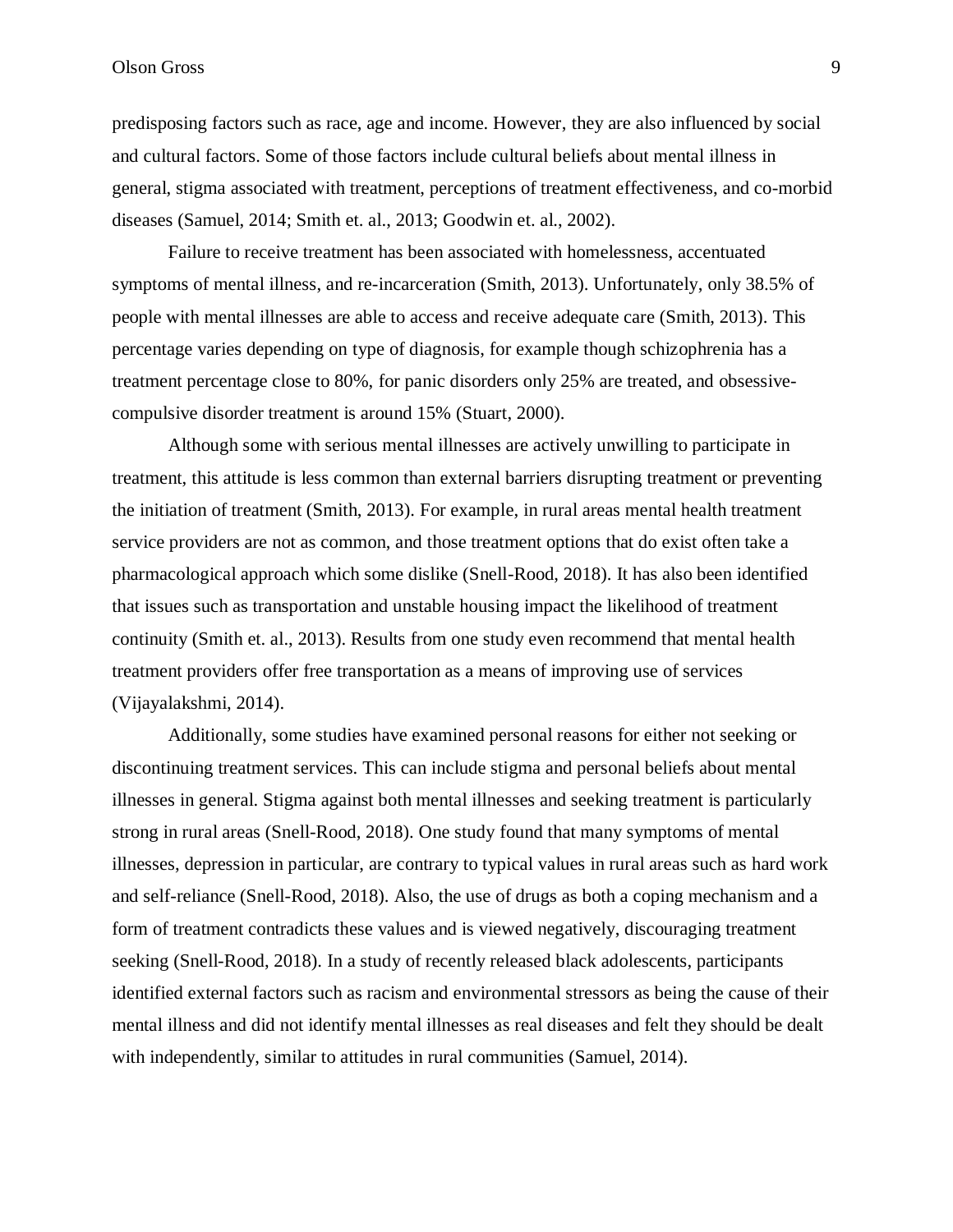predisposing factors such as race, age and income. However, they are also influenced by social and cultural factors. Some of those factors include cultural beliefs about mental illness in general, stigma associated with treatment, perceptions of treatment effectiveness, and co-morbid diseases (Samuel, 2014; Smith et. al., 2013; Goodwin et. al., 2002).

Failure to receive treatment has been associated with homelessness, accentuated symptoms of mental illness, and re-incarceration (Smith, 2013). Unfortunately, only 38.5% of people with mental illnesses are able to access and receive adequate care (Smith, 2013). This percentage varies depending on type of diagnosis, for example though schizophrenia has a treatment percentage close to 80%, for panic disorders only 25% are treated, and obsessivecompulsive disorder treatment is around 15% (Stuart, 2000).

Although some with serious mental illnesses are actively unwilling to participate in treatment, this attitude is less common than external barriers disrupting treatment or preventing the initiation of treatment (Smith, 2013). For example, in rural areas mental health treatment service providers are not as common, and those treatment options that do exist often take a pharmacological approach which some dislike (Snell-Rood, 2018). It has also been identified that issues such as transportation and unstable housing impact the likelihood of treatment continuity (Smith et. al., 2013). Results from one study even recommend that mental health treatment providers offer free transportation as a means of improving use of services (Vijayalakshmi, 2014).

Additionally, some studies have examined personal reasons for either not seeking or discontinuing treatment services. This can include stigma and personal beliefs about mental illnesses in general. Stigma against both mental illnesses and seeking treatment is particularly strong in rural areas (Snell-Rood, 2018). One study found that many symptoms of mental illnesses, depression in particular, are contrary to typical values in rural areas such as hard work and self-reliance (Snell-Rood, 2018). Also, the use of drugs as both a coping mechanism and a form of treatment contradicts these values and is viewed negatively, discouraging treatment seeking (Snell-Rood, 2018). In a study of recently released black adolescents, participants identified external factors such as racism and environmental stressors as being the cause of their mental illness and did not identify mental illnesses as real diseases and felt they should be dealt with independently, similar to attitudes in rural communities (Samuel, 2014).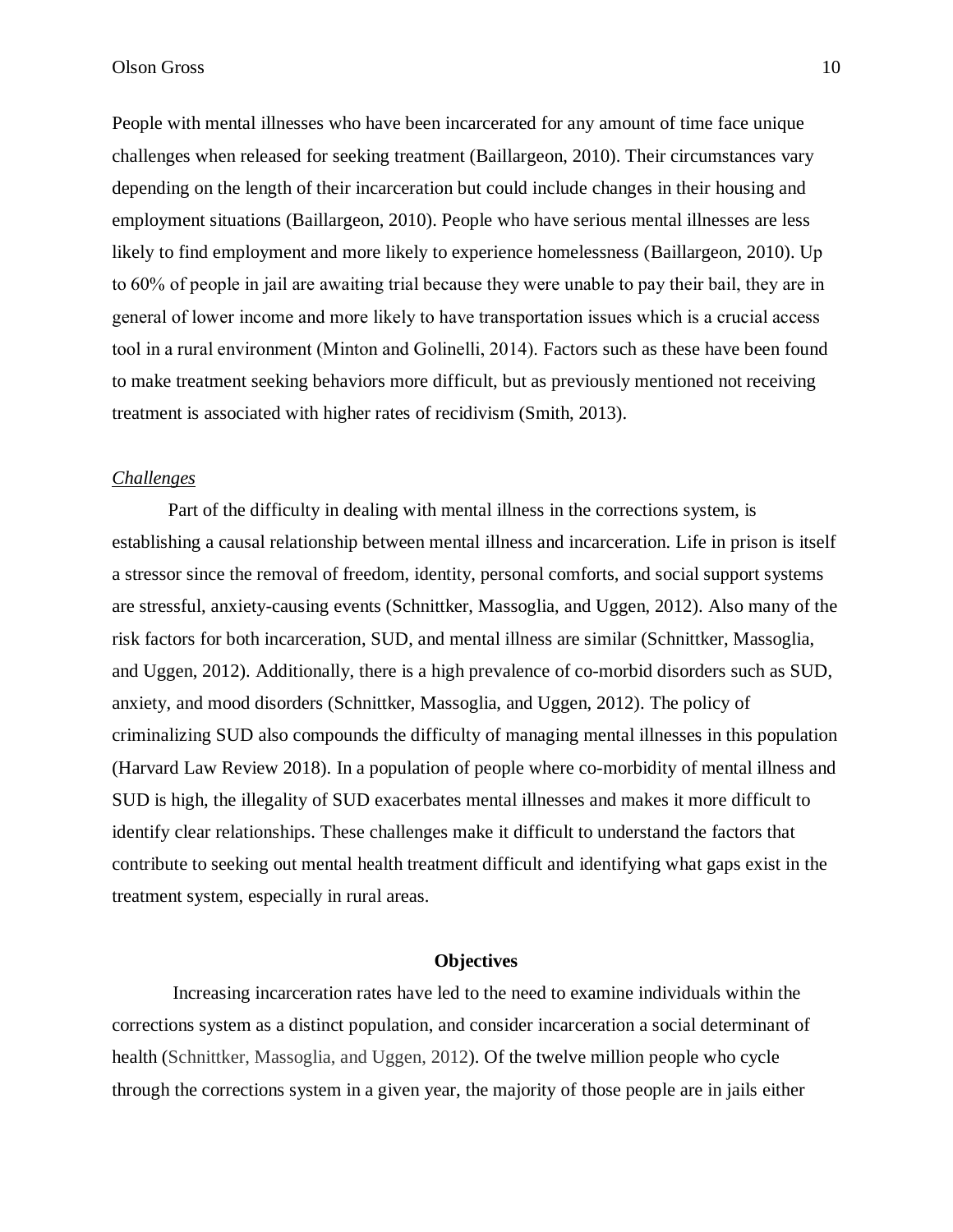People with mental illnesses who have been incarcerated for any amount of time face unique challenges when released for seeking treatment (Baillargeon, 2010). Their circumstances vary depending on the length of their incarceration but could include changes in their housing and employment situations (Baillargeon, 2010). People who have serious mental illnesses are less likely to find employment and more likely to experience homelessness (Baillargeon, 2010). Up to 60% of people in jail are awaiting trial because they were unable to pay their bail, they are in general of lower income and more likely to have transportation issues which is a crucial access tool in a rural environment (Minton and Golinelli, 2014). Factors such as these have been found to make treatment seeking behaviors more difficult, but as previously mentioned not receiving treatment is associated with higher rates of recidivism (Smith, 2013).

## *Challenges*

Part of the difficulty in dealing with mental illness in the corrections system, is establishing a causal relationship between mental illness and incarceration. Life in prison is itself a stressor since the removal of freedom, identity, personal comforts, and social support systems are stressful, anxiety-causing events (Schnittker, Massoglia, and Uggen, 2012). Also many of the risk factors for both incarceration, SUD, and mental illness are similar (Schnittker, Massoglia, and Uggen, 2012). Additionally, there is a high prevalence of co-morbid disorders such as SUD, anxiety, and mood disorders (Schnittker, Massoglia, and Uggen, 2012). The policy of criminalizing SUD also compounds the difficulty of managing mental illnesses in this population (Harvard Law Review 2018). In a population of people where co-morbidity of mental illness and SUD is high, the illegality of SUD exacerbates mental illnesses and makes it more difficult to identify clear relationships. These challenges make it difficult to understand the factors that contribute to seeking out mental health treatment difficult and identifying what gaps exist in the treatment system, especially in rural areas.

## **Objectives**

Increasing incarceration rates have led to the need to examine individuals within the corrections system as a distinct population, and consider incarceration a social determinant of health (Schnittker, Massoglia, and Uggen, 2012). Of the twelve million people who cycle through the corrections system in a given year, the majority of those people are in jails either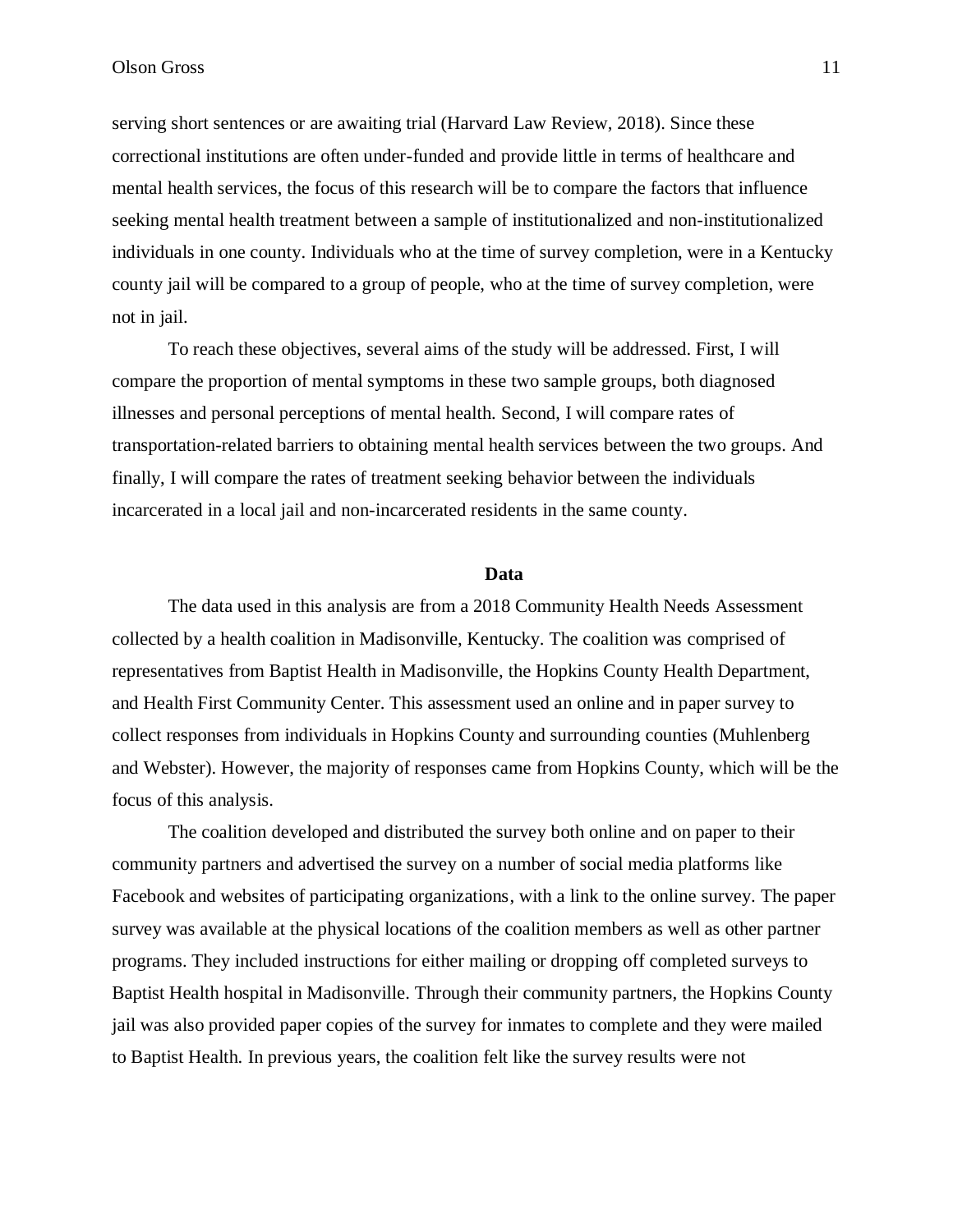serving short sentences or are awaiting trial (Harvard Law Review, 2018). Since these correctional institutions are often under-funded and provide little in terms of healthcare and mental health services, the focus of this research will be to compare the factors that influence seeking mental health treatment between a sample of institutionalized and non-institutionalized individuals in one county. Individuals who at the time of survey completion, were in a Kentucky county jail will be compared to a group of people, who at the time of survey completion, were not in jail.

To reach these objectives, several aims of the study will be addressed. First, I will compare the proportion of mental symptoms in these two sample groups, both diagnosed illnesses and personal perceptions of mental health. Second, I will compare rates of transportation-related barriers to obtaining mental health services between the two groups. And finally, I will compare the rates of treatment seeking behavior between the individuals incarcerated in a local jail and non-incarcerated residents in the same county.

## **Data**

The data used in this analysis are from a 2018 Community Health Needs Assessment collected by a health coalition in Madisonville, Kentucky. The coalition was comprised of representatives from Baptist Health in Madisonville, the Hopkins County Health Department, and Health First Community Center. This assessment used an online and in paper survey to collect responses from individuals in Hopkins County and surrounding counties (Muhlenberg and Webster). However, the majority of responses came from Hopkins County, which will be the focus of this analysis.

The coalition developed and distributed the survey both online and on paper to their community partners and advertised the survey on a number of social media platforms like Facebook and websites of participating organizations, with a link to the online survey. The paper survey was available at the physical locations of the coalition members as well as other partner programs. They included instructions for either mailing or dropping off completed surveys to Baptist Health hospital in Madisonville. Through their community partners, the Hopkins County jail was also provided paper copies of the survey for inmates to complete and they were mailed to Baptist Health. In previous years, the coalition felt like the survey results were not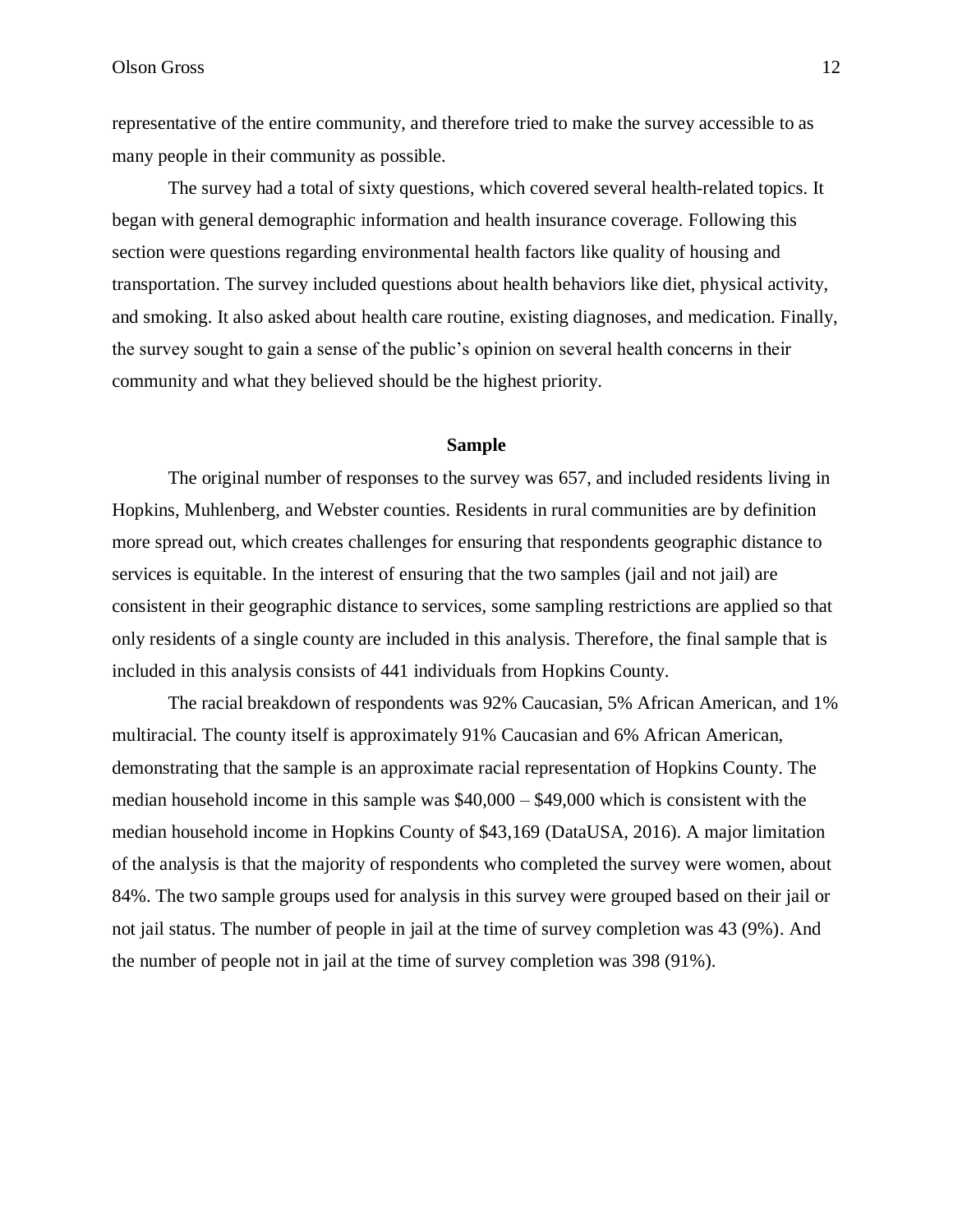representative of the entire community, and therefore tried to make the survey accessible to as many people in their community as possible.

The survey had a total of sixty questions, which covered several health-related topics. It began with general demographic information and health insurance coverage. Following this section were questions regarding environmental health factors like quality of housing and transportation. The survey included questions about health behaviors like diet, physical activity, and smoking. It also asked about health care routine, existing diagnoses, and medication. Finally, the survey sought to gain a sense of the public's opinion on several health concerns in their community and what they believed should be the highest priority.

## **Sample**

The original number of responses to the survey was 657, and included residents living in Hopkins, Muhlenberg, and Webster counties. Residents in rural communities are by definition more spread out, which creates challenges for ensuring that respondents geographic distance to services is equitable. In the interest of ensuring that the two samples (jail and not jail) are consistent in their geographic distance to services, some sampling restrictions are applied so that only residents of a single county are included in this analysis. Therefore, the final sample that is included in this analysis consists of 441 individuals from Hopkins County.

The racial breakdown of respondents was 92% Caucasian, 5% African American, and 1% multiracial. The county itself is approximately 91% Caucasian and 6% African American, demonstrating that the sample is an approximate racial representation of Hopkins County. The median household income in this sample was \$40,000 – \$49,000 which is consistent with the median household income in Hopkins County of \$43,169 (DataUSA, 2016). A major limitation of the analysis is that the majority of respondents who completed the survey were women, about 84%. The two sample groups used for analysis in this survey were grouped based on their jail or not jail status. The number of people in jail at the time of survey completion was 43 (9%). And the number of people not in jail at the time of survey completion was 398 (91%).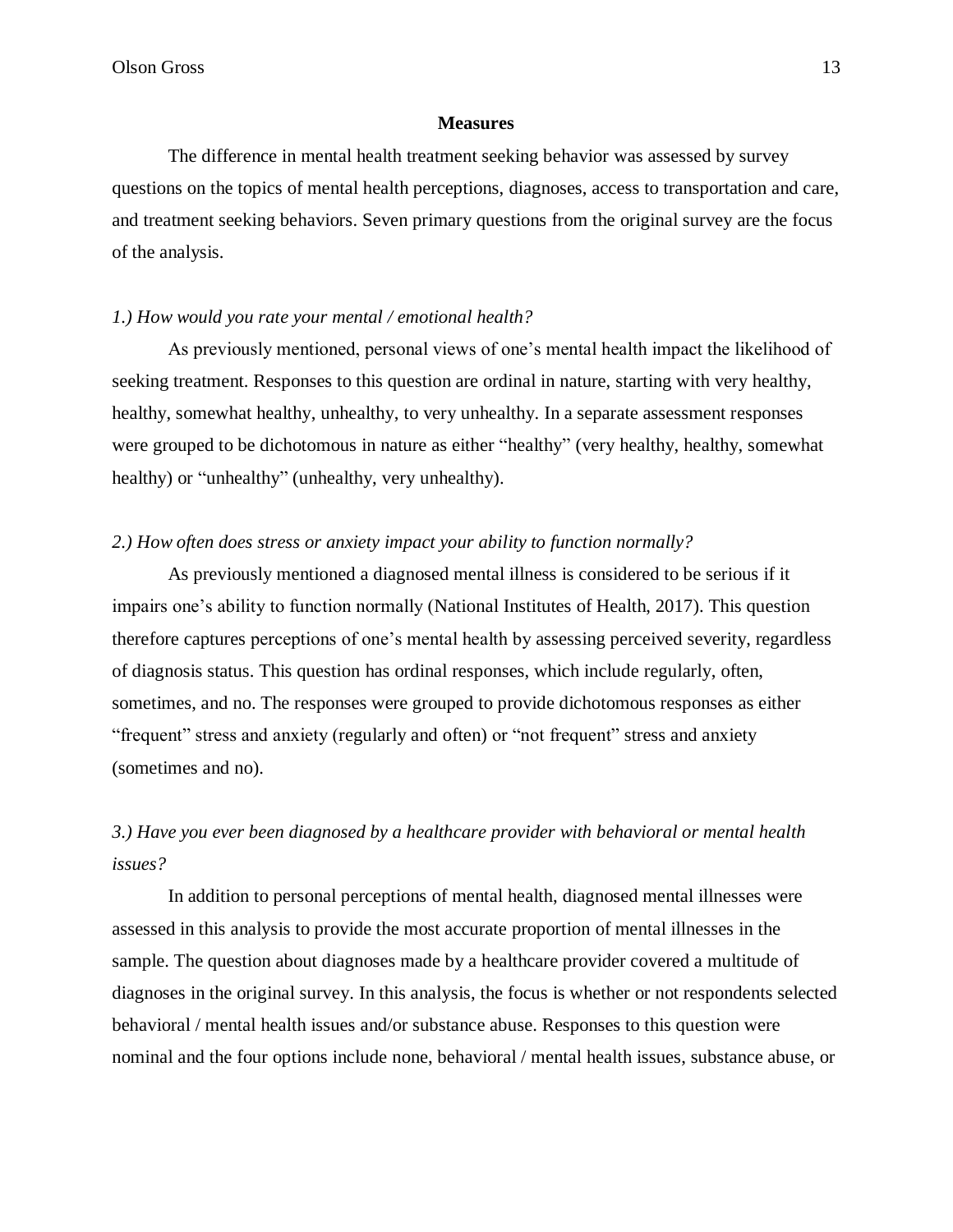## **Measures**

The difference in mental health treatment seeking behavior was assessed by survey questions on the topics of mental health perceptions, diagnoses, access to transportation and care, and treatment seeking behaviors. Seven primary questions from the original survey are the focus of the analysis.

## *1.) How would you rate your mental / emotional health?*

As previously mentioned, personal views of one's mental health impact the likelihood of seeking treatment. Responses to this question are ordinal in nature, starting with very healthy, healthy, somewhat healthy, unhealthy, to very unhealthy. In a separate assessment responses were grouped to be dichotomous in nature as either "healthy" (very healthy, healthy, somewhat healthy) or "unhealthy" (unhealthy, very unhealthy).

## *2.) How often does stress or anxiety impact your ability to function normally?*

As previously mentioned a diagnosed mental illness is considered to be serious if it impairs one's ability to function normally (National Institutes of Health, 2017). This question therefore captures perceptions of one's mental health by assessing perceived severity, regardless of diagnosis status. This question has ordinal responses, which include regularly, often, sometimes, and no. The responses were grouped to provide dichotomous responses as either "frequent" stress and anxiety (regularly and often) or "not frequent" stress and anxiety (sometimes and no).

## *3.) Have you ever been diagnosed by a healthcare provider with behavioral or mental health issues?*

In addition to personal perceptions of mental health, diagnosed mental illnesses were assessed in this analysis to provide the most accurate proportion of mental illnesses in the sample. The question about diagnoses made by a healthcare provider covered a multitude of diagnoses in the original survey. In this analysis, the focus is whether or not respondents selected behavioral / mental health issues and/or substance abuse. Responses to this question were nominal and the four options include none, behavioral / mental health issues, substance abuse, or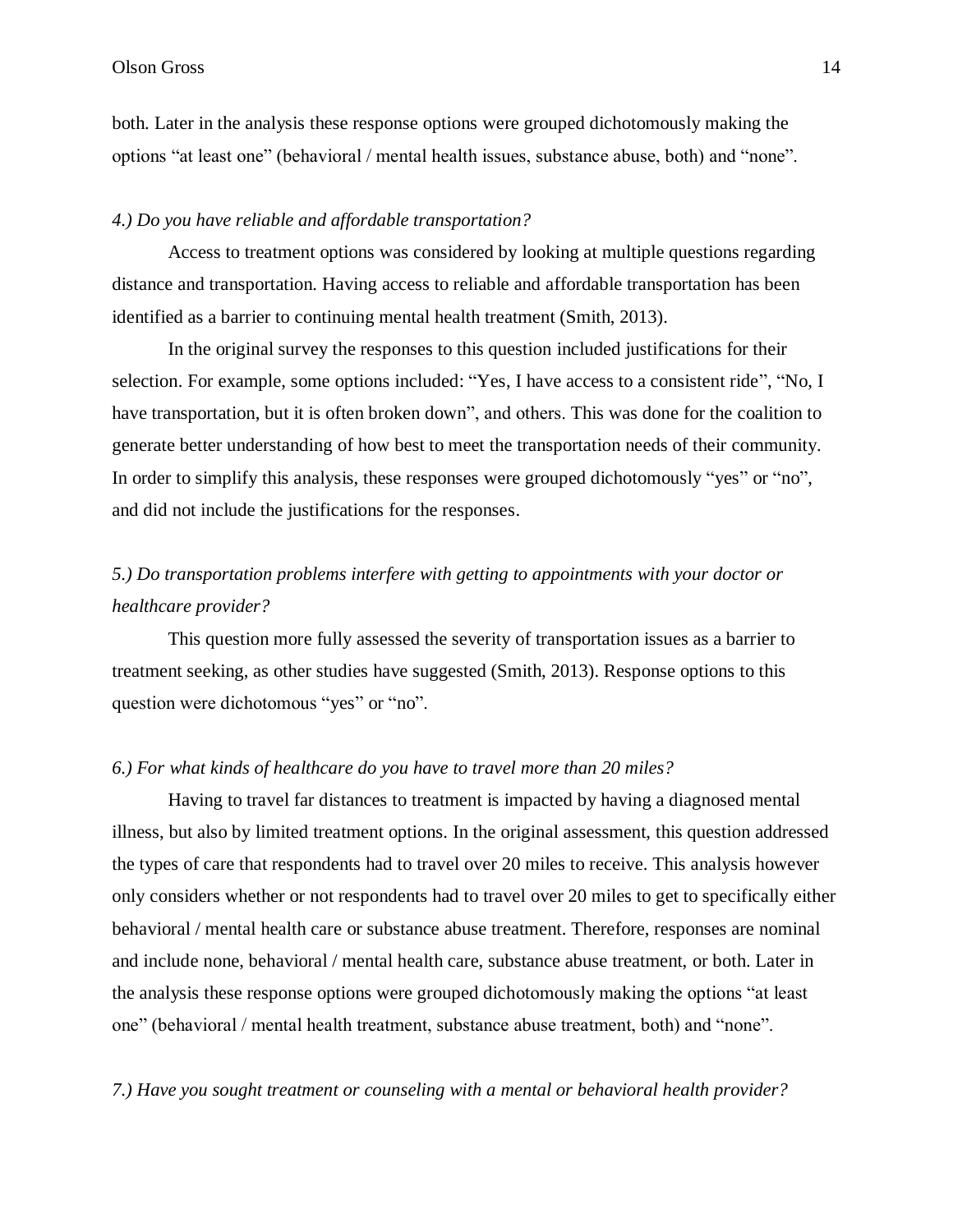## Olson Gross 14

both. Later in the analysis these response options were grouped dichotomously making the options "at least one" (behavioral / mental health issues, substance abuse, both) and "none".

## *4.) Do you have reliable and affordable transportation?*

Access to treatment options was considered by looking at multiple questions regarding distance and transportation. Having access to reliable and affordable transportation has been identified as a barrier to continuing mental health treatment (Smith, 2013).

In the original survey the responses to this question included justifications for their selection. For example, some options included: "Yes, I have access to a consistent ride", "No, I have transportation, but it is often broken down", and others. This was done for the coalition to generate better understanding of how best to meet the transportation needs of their community. In order to simplify this analysis, these responses were grouped dichotomously "yes" or "no", and did not include the justifications for the responses.

## *5.) Do transportation problems interfere with getting to appointments with your doctor or healthcare provider?*

This question more fully assessed the severity of transportation issues as a barrier to treatment seeking, as other studies have suggested (Smith, 2013). Response options to this question were dichotomous "yes" or "no".

## *6.) For what kinds of healthcare do you have to travel more than 20 miles?*

Having to travel far distances to treatment is impacted by having a diagnosed mental illness, but also by limited treatment options. In the original assessment, this question addressed the types of care that respondents had to travel over 20 miles to receive. This analysis however only considers whether or not respondents had to travel over 20 miles to get to specifically either behavioral / mental health care or substance abuse treatment. Therefore, responses are nominal and include none, behavioral / mental health care, substance abuse treatment, or both. Later in the analysis these response options were grouped dichotomously making the options "at least one" (behavioral / mental health treatment, substance abuse treatment, both) and "none".

## *7.) Have you sought treatment or counseling with a mental or behavioral health provider?*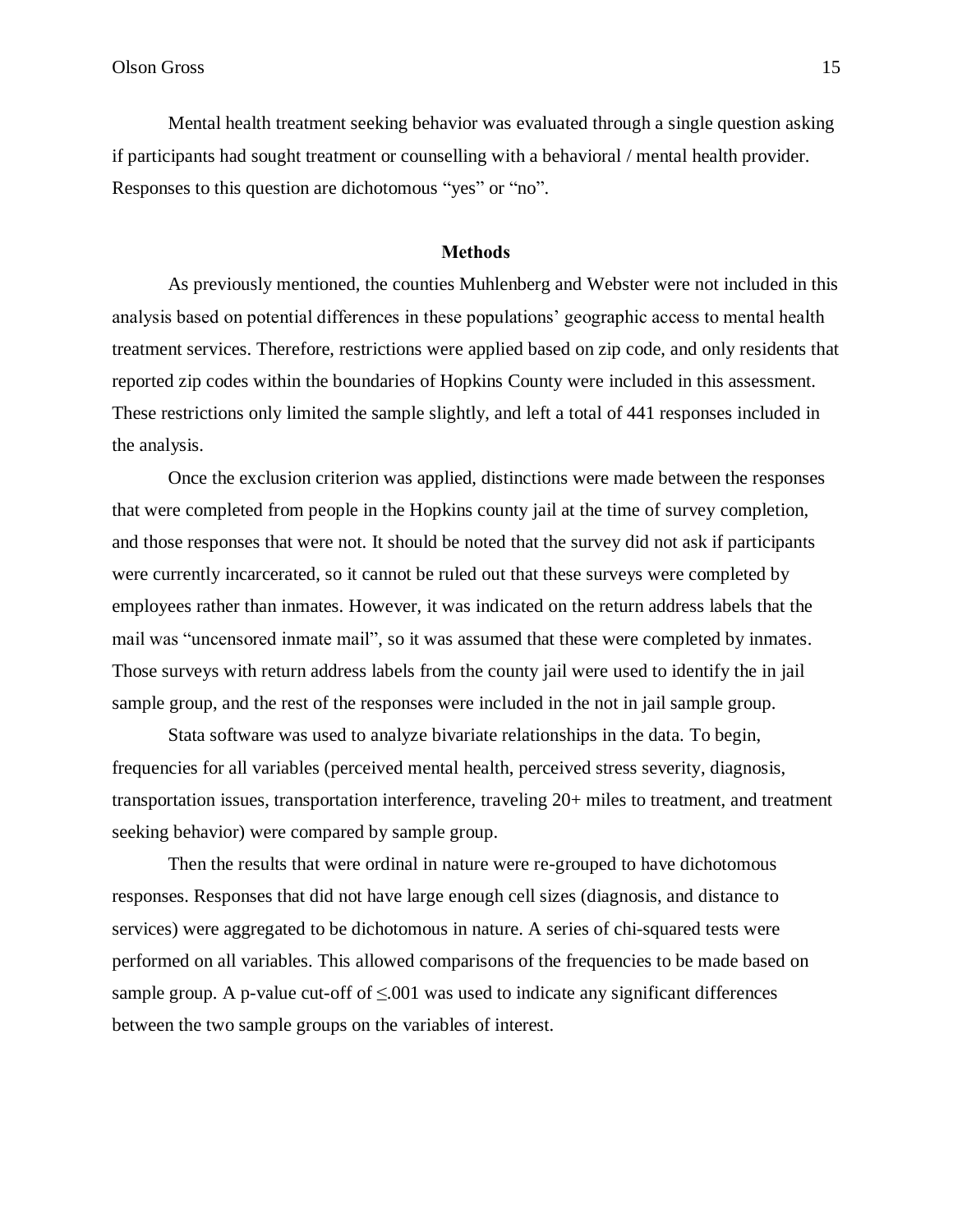Mental health treatment seeking behavior was evaluated through a single question asking if participants had sought treatment or counselling with a behavioral / mental health provider. Responses to this question are dichotomous "yes" or "no".

#### **Methods**

As previously mentioned, the counties Muhlenberg and Webster were not included in this analysis based on potential differences in these populations' geographic access to mental health treatment services. Therefore, restrictions were applied based on zip code, and only residents that reported zip codes within the boundaries of Hopkins County were included in this assessment. These restrictions only limited the sample slightly, and left a total of 441 responses included in the analysis.

Once the exclusion criterion was applied, distinctions were made between the responses that were completed from people in the Hopkins county jail at the time of survey completion, and those responses that were not. It should be noted that the survey did not ask if participants were currently incarcerated, so it cannot be ruled out that these surveys were completed by employees rather than inmates. However, it was indicated on the return address labels that the mail was "uncensored inmate mail", so it was assumed that these were completed by inmates. Those surveys with return address labels from the county jail were used to identify the in jail sample group, and the rest of the responses were included in the not in jail sample group.

Stata software was used to analyze bivariate relationships in the data. To begin, frequencies for all variables (perceived mental health, perceived stress severity, diagnosis, transportation issues, transportation interference, traveling 20+ miles to treatment, and treatment seeking behavior) were compared by sample group.

Then the results that were ordinal in nature were re-grouped to have dichotomous responses. Responses that did not have large enough cell sizes (diagnosis, and distance to services) were aggregated to be dichotomous in nature. A series of chi-squared tests were performed on all variables. This allowed comparisons of the frequencies to be made based on sample group. A p-value cut-off of  $\leq 0.001$  was used to indicate any significant differences between the two sample groups on the variables of interest.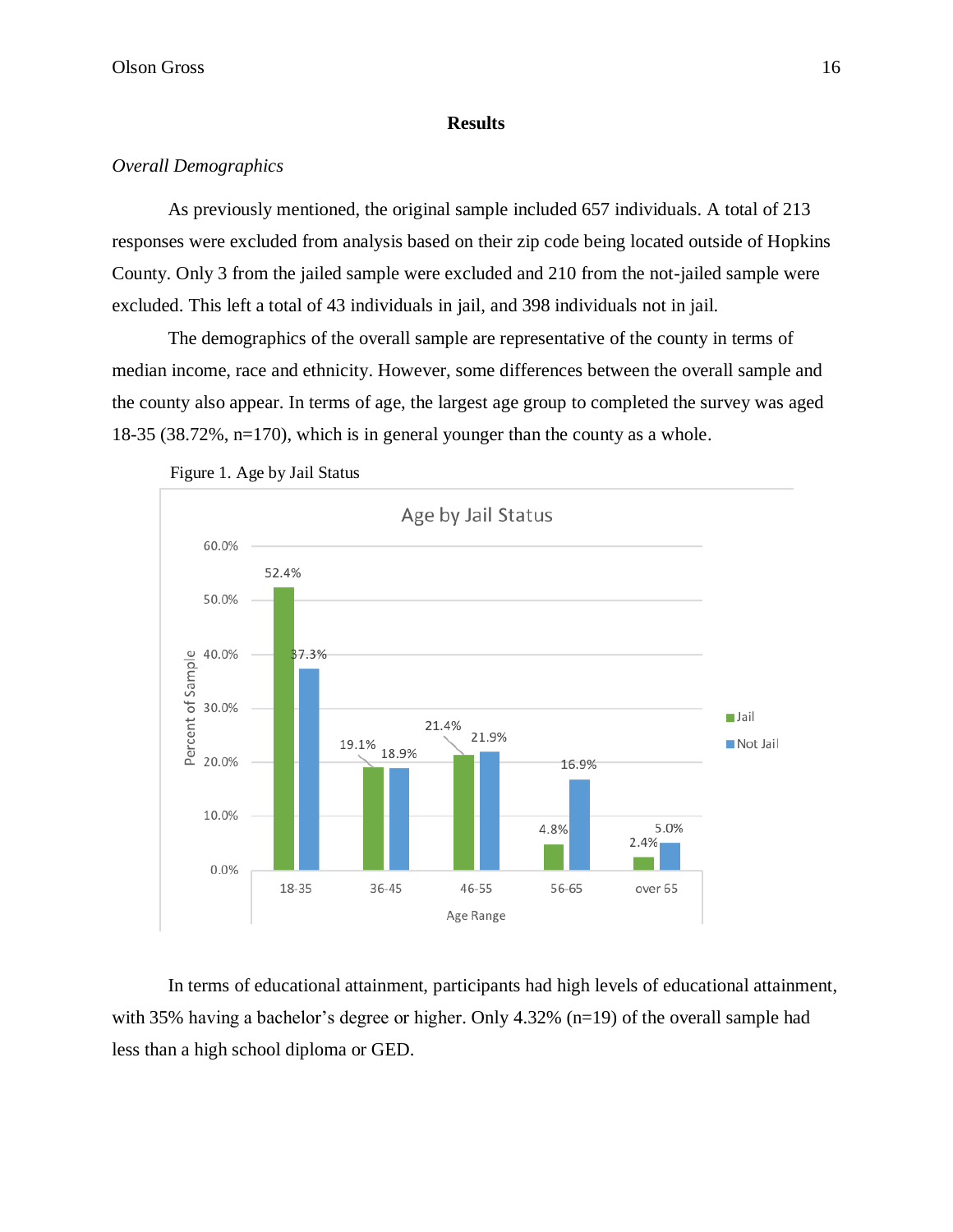## **Results**

## *Overall Demographics*

As previously mentioned, the original sample included 657 individuals. A total of 213 responses were excluded from analysis based on their zip code being located outside of Hopkins County. Only 3 from the jailed sample were excluded and 210 from the not-jailed sample were excluded. This left a total of 43 individuals in jail, and 398 individuals not in jail.

The demographics of the overall sample are representative of the county in terms of median income, race and ethnicity. However, some differences between the overall sample and the county also appear. In terms of age, the largest age group to completed the survey was aged 18-35 (38.72%, n=170), which is in general younger than the county as a whole.



Figure 1. Age by Jail Status

In terms of educational attainment, participants had high levels of educational attainment, with 35% having a bachelor's degree or higher. Only 4.32% (n=19) of the overall sample had less than a high school diploma or GED.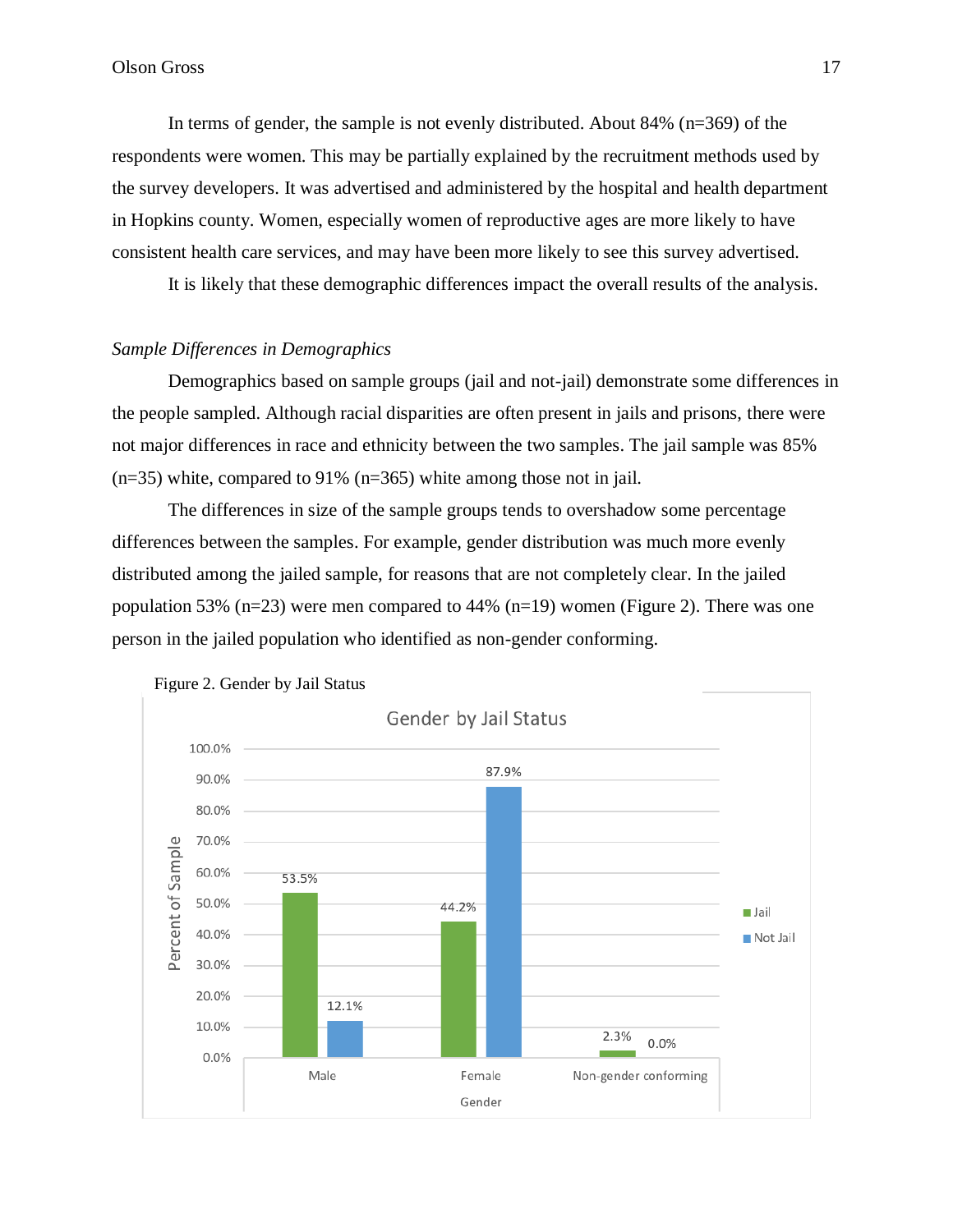In terms of gender, the sample is not evenly distributed. About 84% (n=369) of the respondents were women. This may be partially explained by the recruitment methods used by the survey developers. It was advertised and administered by the hospital and health department in Hopkins county. Women, especially women of reproductive ages are more likely to have consistent health care services, and may have been more likely to see this survey advertised.

It is likely that these demographic differences impact the overall results of the analysis.

## *Sample Differences in Demographics*

Demographics based on sample groups (jail and not-jail) demonstrate some differences in the people sampled. Although racial disparities are often present in jails and prisons, there were not major differences in race and ethnicity between the two samples. The jail sample was 85%  $(n=35)$  white, compared to 91%  $(n=365)$  white among those not in jail.

The differences in size of the sample groups tends to overshadow some percentage differences between the samples. For example, gender distribution was much more evenly distributed among the jailed sample, for reasons that are not completely clear. In the jailed population 53% (n=23) were men compared to 44% (n=19) women (Figure 2). There was one person in the jailed population who identified as non-gender conforming.



Figure 2. Gender by Jail Status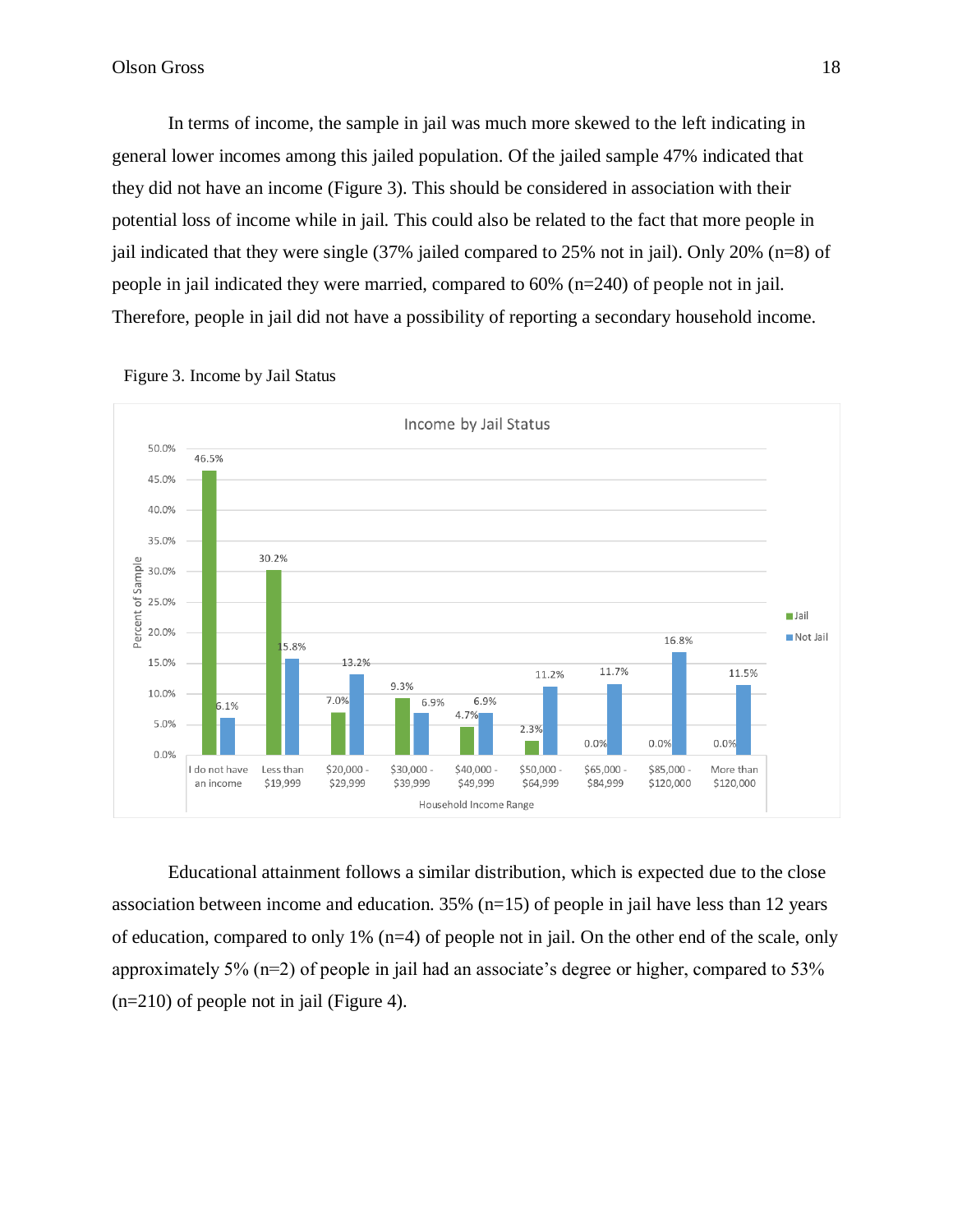In terms of income, the sample in jail was much more skewed to the left indicating in general lower incomes among this jailed population. Of the jailed sample 47% indicated that they did not have an income (Figure 3). This should be considered in association with their potential loss of income while in jail. This could also be related to the fact that more people in jail indicated that they were single (37% jailed compared to 25% not in jail). Only 20% (n=8) of people in jail indicated they were married, compared to 60% (n=240) of people not in jail. Therefore, people in jail did not have a possibility of reporting a secondary household income.



Figure 3. Income by Jail Status

Educational attainment follows a similar distribution, which is expected due to the close association between income and education. 35% (n=15) of people in jail have less than 12 years of education, compared to only 1% (n=4) of people not in jail. On the other end of the scale, only approximately 5% (n=2) of people in jail had an associate's degree or higher, compared to 53% (n=210) of people not in jail (Figure 4).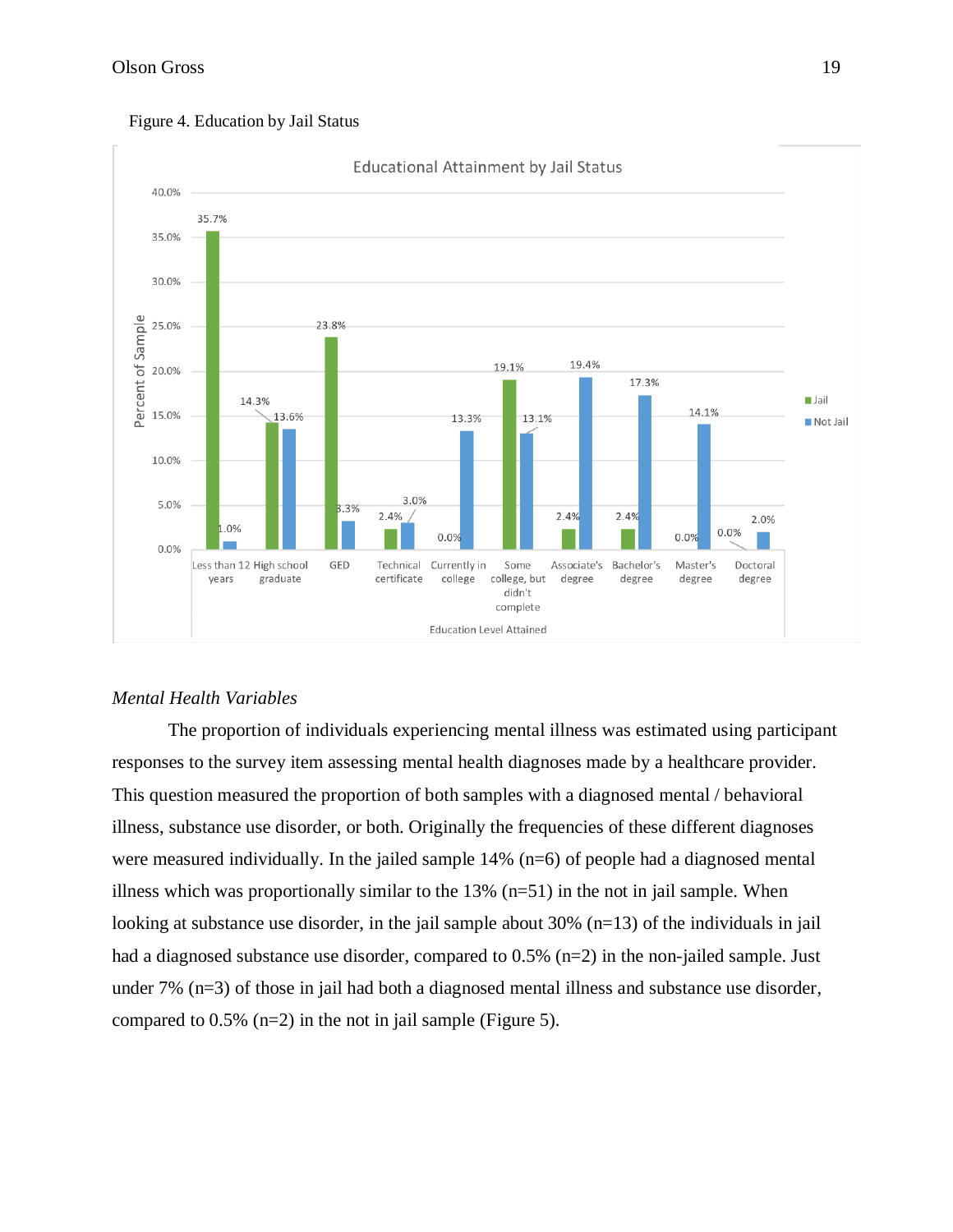

#### Figure 4. Education by Jail Status

## *Mental Health Variables*

The proportion of individuals experiencing mental illness was estimated using participant responses to the survey item assessing mental health diagnoses made by a healthcare provider. This question measured the proportion of both samples with a diagnosed mental / behavioral illness, substance use disorder, or both. Originally the frequencies of these different diagnoses were measured individually. In the jailed sample 14% (n=6) of people had a diagnosed mental illness which was proportionally similar to the  $13\%$  (n=51) in the not in jail sample. When looking at substance use disorder, in the jail sample about 30% (n=13) of the individuals in jail had a diagnosed substance use disorder, compared to  $0.5\%$  (n=2) in the non-jailed sample. Just under 7% (n=3) of those in jail had both a diagnosed mental illness and substance use disorder, compared to  $0.5\%$  (n=2) in the not in jail sample (Figure 5).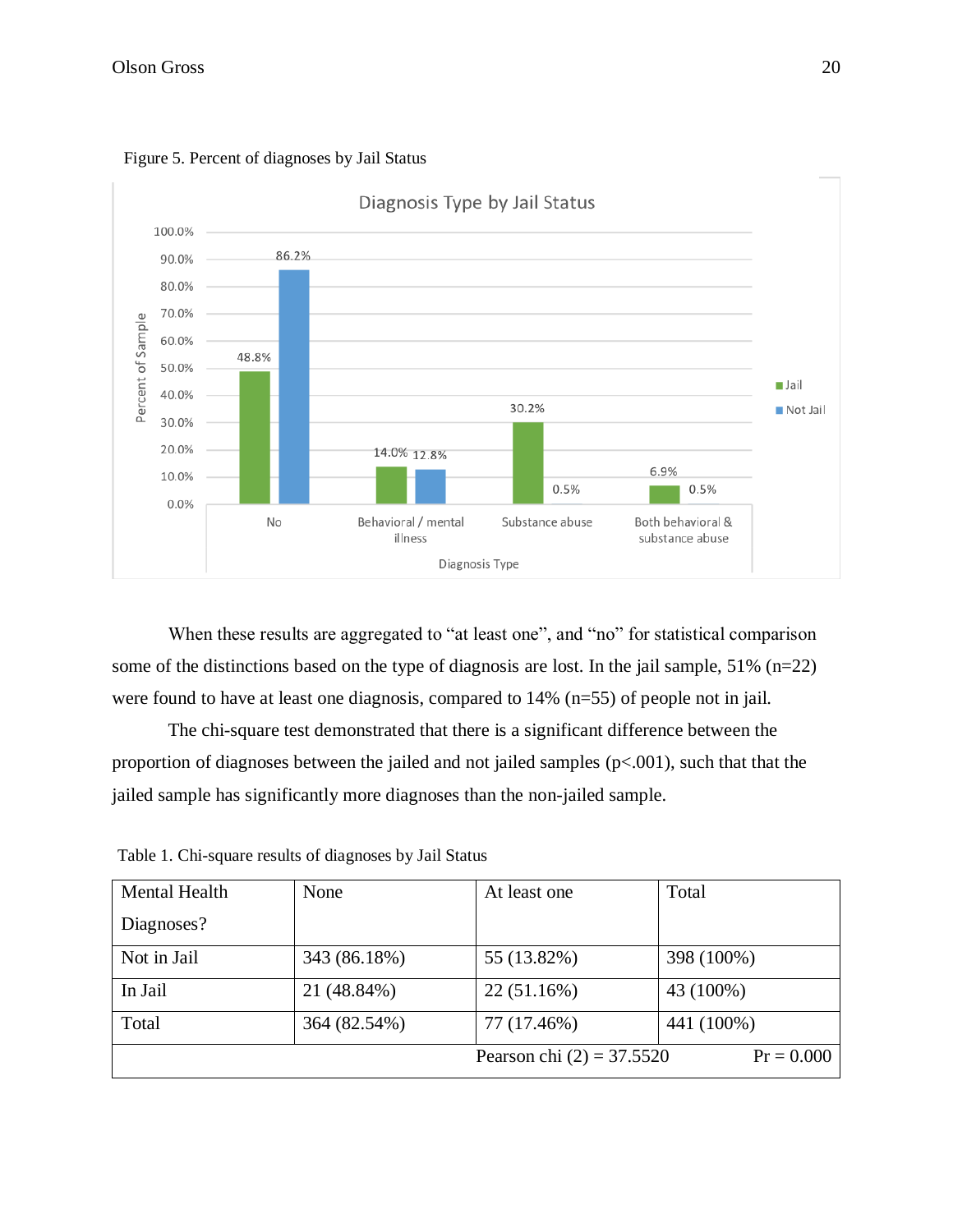



When these results are aggregated to "at least one", and "no" for statistical comparison some of the distinctions based on the type of diagnosis are lost. In the jail sample, 51% (n=22) were found to have at least one diagnosis, compared to 14% (n=55) of people not in jail.

The chi-square test demonstrated that there is a significant difference between the proportion of diagnoses between the jailed and not jailed samples (p<.001), such that that the jailed sample has significantly more diagnoses than the non-jailed sample.

| <b>Mental Health</b> | None         | At least one                | Total        |
|----------------------|--------------|-----------------------------|--------------|
| Diagnoses?           |              |                             |              |
| Not in Jail          | 343 (86.18%) | 55 (13.82%)                 | 398 (100%)   |
| In Jail              | 21 (48.84%)  | 22(51.16%)                  | 43 (100%)    |
| Total                | 364 (82.54%) | 77 (17.46%)                 | 441 (100%)   |
|                      |              | Pearson chi $(2) = 37.5520$ | $Pr = 0.000$ |

Table 1. Chi-square results of diagnoses by Jail Status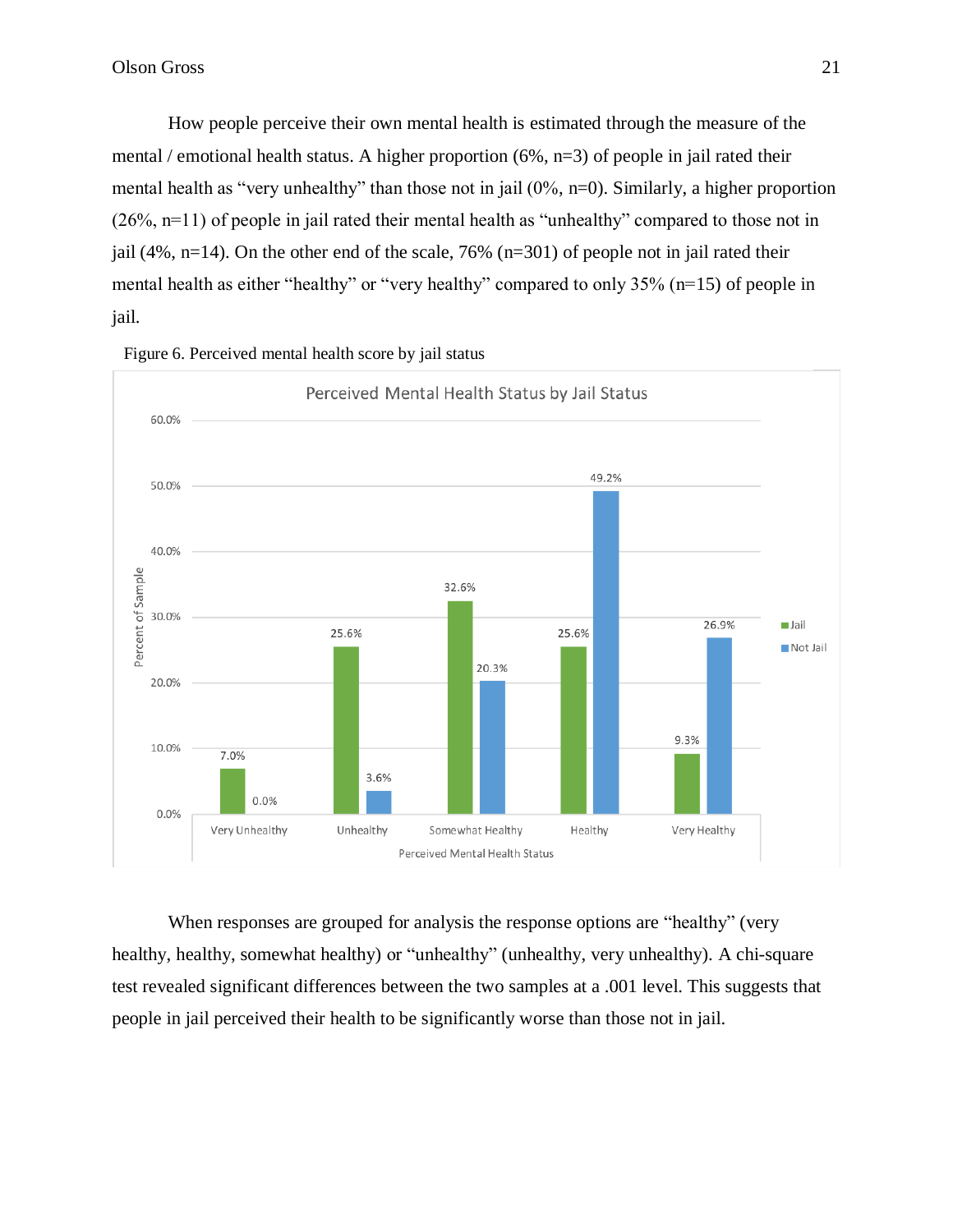How people perceive their own mental health is estimated through the measure of the mental / emotional health status. A higher proportion (6%, n=3) of people in jail rated their mental health as "very unhealthy" than those not in jail (0%, n=0). Similarly, a higher proportion (26%, n=11) of people in jail rated their mental health as "unhealthy" compared to those not in jail (4%, n=14). On the other end of the scale, 76% (n=301) of people not in jail rated their mental health as either "healthy" or "very healthy" compared to only 35% (n=15) of people in jail.



Figure 6. Perceived mental health score by jail status

When responses are grouped for analysis the response options are "healthy" (very healthy, healthy, somewhat healthy) or "unhealthy" (unhealthy, very unhealthy). A chi-square test revealed significant differences between the two samples at a .001 level. This suggests that people in jail perceived their health to be significantly worse than those not in jail.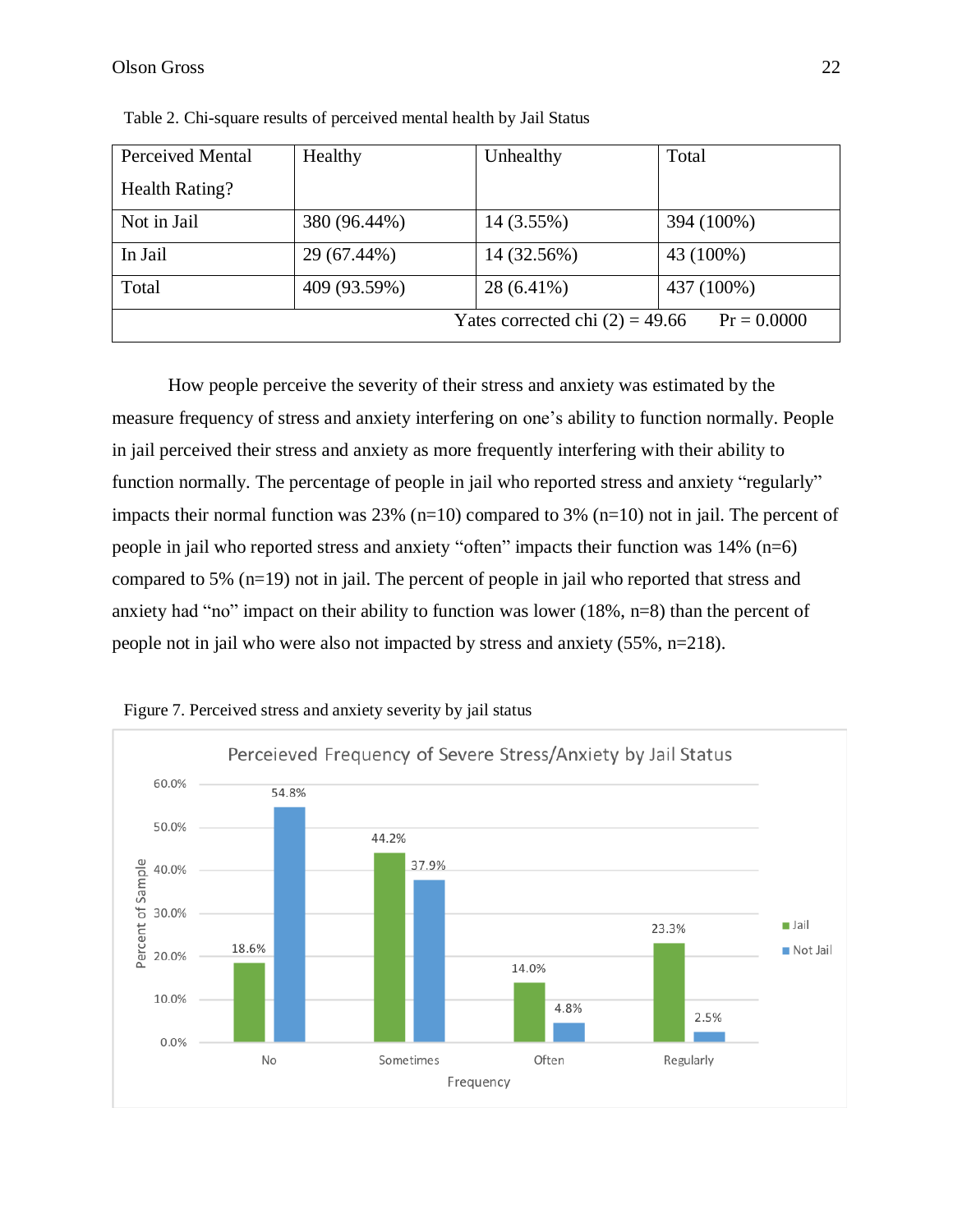| Perceived Mental                                   | Healthy      | Unhealthy   | Total      |  |
|----------------------------------------------------|--------------|-------------|------------|--|
| Health Rating?                                     |              |             |            |  |
| Not in Jail                                        | 380 (96.44%) | 14 (3.55%)  | 394 (100%) |  |
| In Jail                                            | 29 (67.44%)  | 14 (32.56%) | 43 (100%)  |  |
| Total                                              | 409 (93.59%) | 28 (6.41%)  | 437 (100%) |  |
| Yates corrected chi $(2) = 49.66$<br>$Pr = 0.0000$ |              |             |            |  |

Table 2. Chi-square results of perceived mental health by Jail Status

How people perceive the severity of their stress and anxiety was estimated by the measure frequency of stress and anxiety interfering on one's ability to function normally. People in jail perceived their stress and anxiety as more frequently interfering with their ability to function normally. The percentage of people in jail who reported stress and anxiety "regularly" impacts their normal function was 23% (n=10) compared to 3% (n=10) not in jail. The percent of people in jail who reported stress and anxiety "often" impacts their function was 14% (n=6) compared to 5% (n=19) not in jail. The percent of people in jail who reported that stress and anxiety had "no" impact on their ability to function was lower (18%, n=8) than the percent of people not in jail who were also not impacted by stress and anxiety (55%, n=218).



Figure 7. Perceived stress and anxiety severity by jail status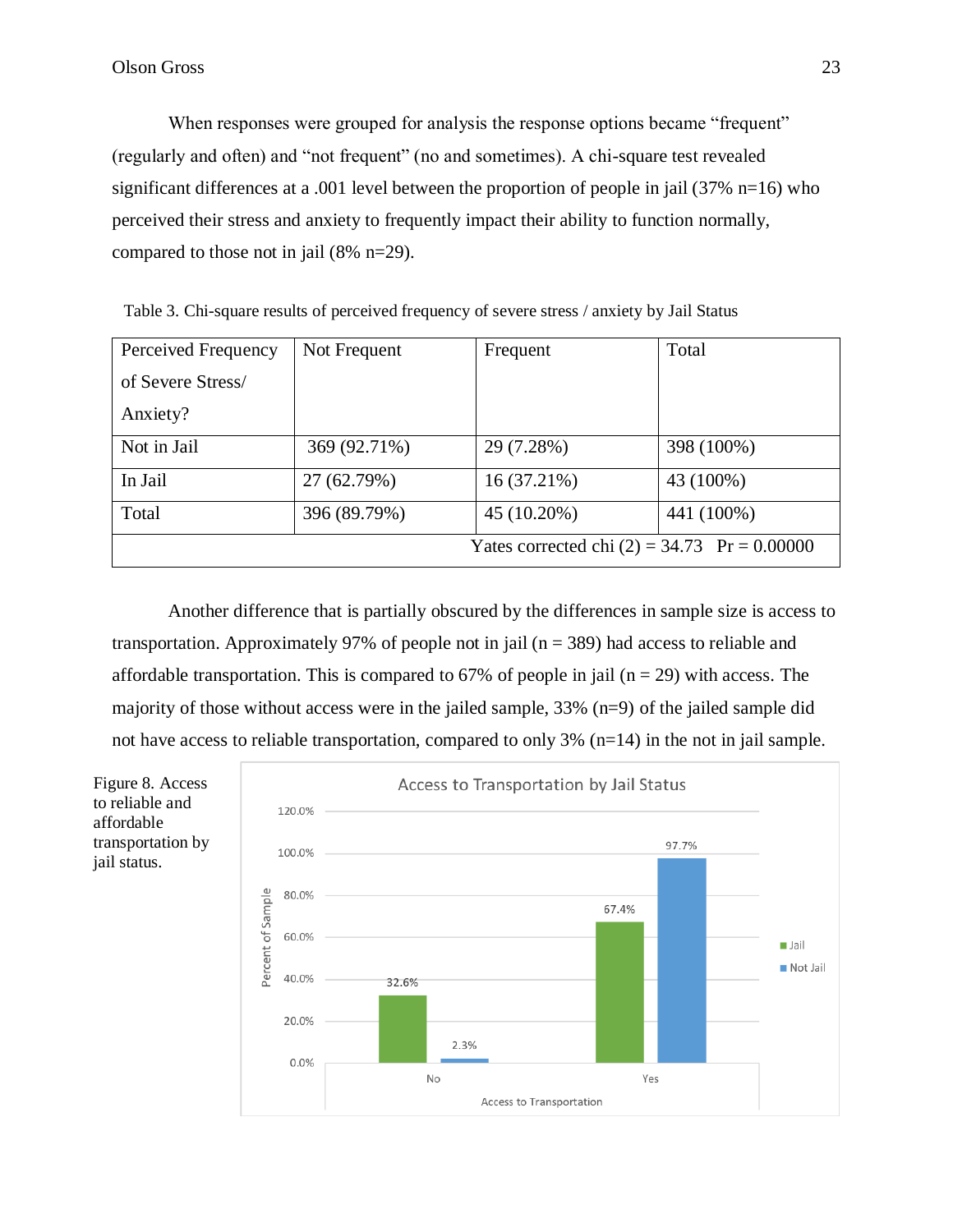When responses were grouped for analysis the response options became "frequent" (regularly and often) and "not frequent" (no and sometimes). A chi-square test revealed significant differences at a .001 level between the proportion of people in jail (37% n=16) who perceived their stress and anxiety to frequently impact their ability to function normally, compared to those not in jail (8% n=29).

| Perceived Frequency                            | Not Frequent | Frequent    | Total      |
|------------------------------------------------|--------------|-------------|------------|
| of Severe Stress/                              |              |             |            |
| Anxiety?                                       |              |             |            |
| Not in Jail                                    | 369 (92.71%) | 29 (7.28%)  | 398 (100%) |
| In Jail                                        | 27 (62.79%)  | 16 (37.21%) | 43 (100%)  |
| Total                                          | 396 (89.79%) | 45 (10.20%) | 441 (100%) |
| Yates corrected chi $(2) = 34.73$ Pr = 0.00000 |              |             |            |

Table 3. Chi-square results of perceived frequency of severe stress / anxiety by Jail Status

Another difference that is partially obscured by the differences in sample size is access to transportation. Approximately 97% of people not in jail ( $n = 389$ ) had access to reliable and affordable transportation. This is compared to 67% of people in jail ( $n = 29$ ) with access. The majority of those without access were in the jailed sample, 33% (n=9) of the jailed sample did not have access to reliable transportation, compared to only 3% (n=14) in the not in jail sample.

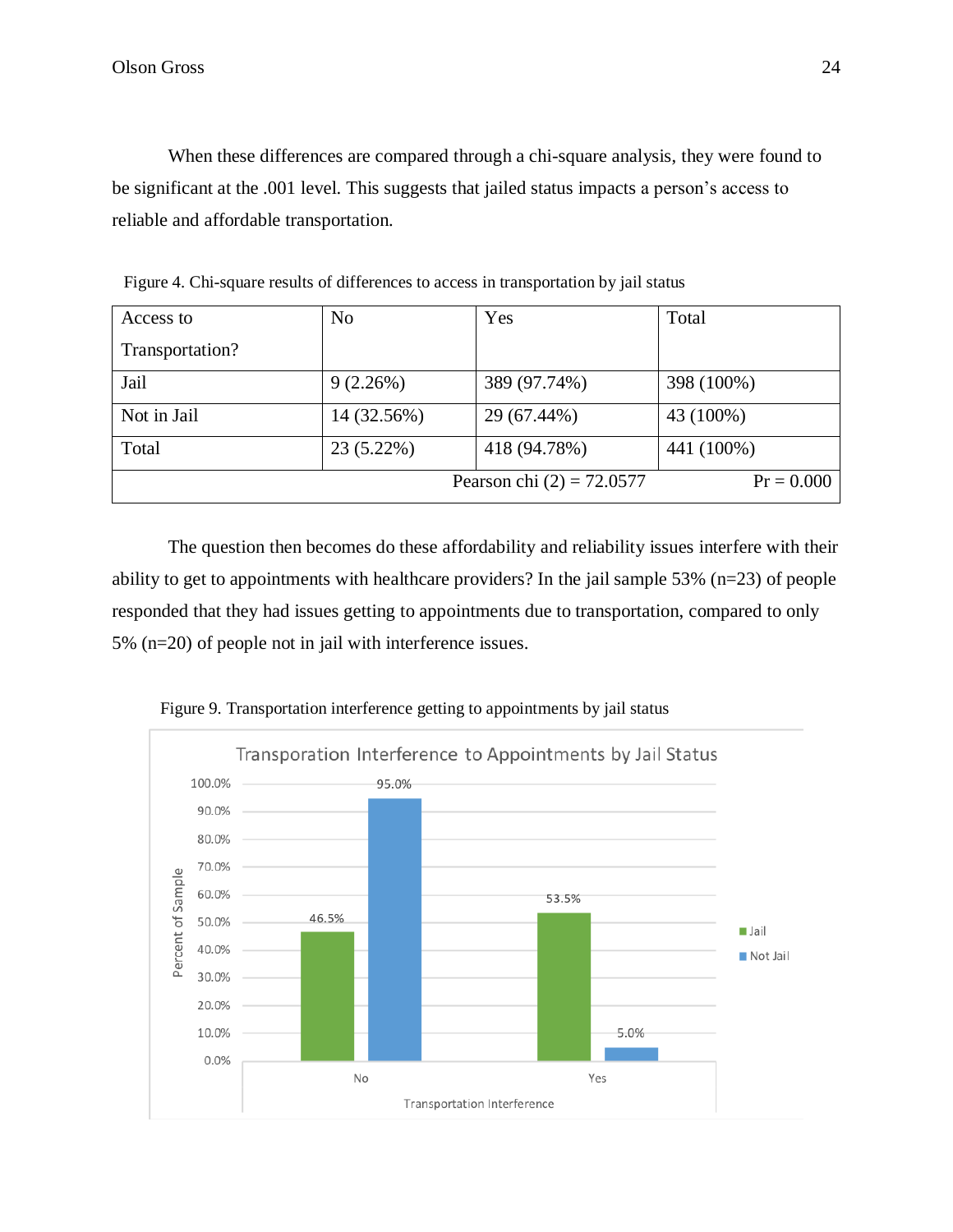When these differences are compared through a chi-square analysis, they were found to be significant at the .001 level. This suggests that jailed status impacts a person's access to reliable and affordable transportation.

| Access to       | N <sub>o</sub> | Yes                         | Total        |
|-----------------|----------------|-----------------------------|--------------|
| Transportation? |                |                             |              |
| Jail            | 9(2.26%)       | 389 (97.74%)                | 398 (100%)   |
| Not in Jail     | 14 (32.56%)    | 29 (67.44%)                 | 43 (100%)    |
| Total           | 23 (5.22%)     | 418 (94.78%)                | 441 (100%)   |
|                 |                | Pearson chi $(2) = 72.0577$ | $Pr = 0.000$ |

Figure 4. Chi-square results of differences to access in transportation by jail status

The question then becomes do these affordability and reliability issues interfere with their ability to get to appointments with healthcare providers? In the jail sample 53% (n=23) of people responded that they had issues getting to appointments due to transportation, compared to only 5% (n=20) of people not in jail with interference issues.



Figure 9. Transportation interference getting to appointments by jail status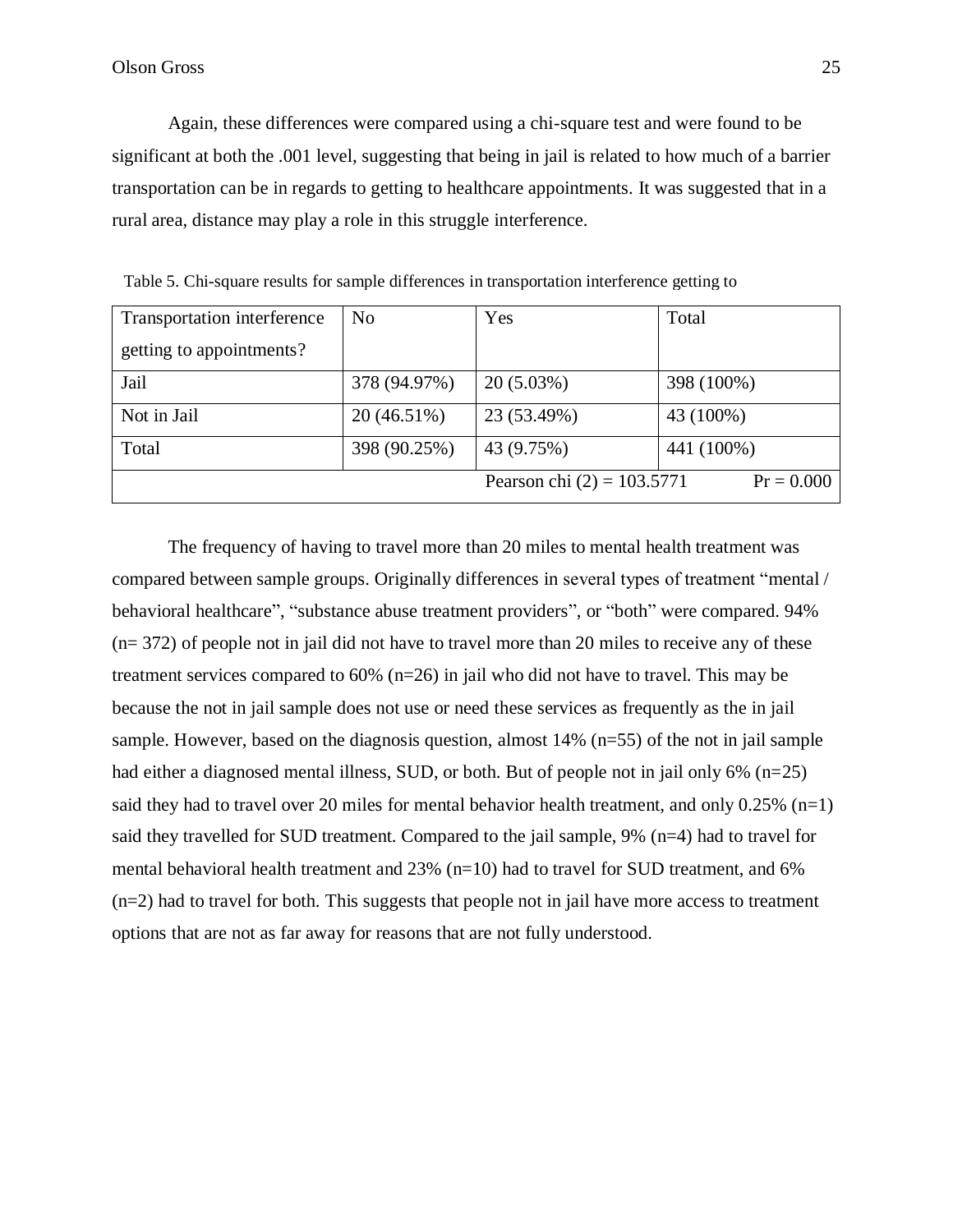Again, these differences were compared using a chi-square test and were found to be significant at both the .001 level, suggesting that being in jail is related to how much of a barrier transportation can be in regards to getting to healthcare appointments. It was suggested that in a rural area, distance may play a role in this struggle interference.

| Transportation interference | N <sub>0</sub> | Yes                          | Total        |
|-----------------------------|----------------|------------------------------|--------------|
| getting to appointments?    |                |                              |              |
| Jail                        | 378 (94.97%)   | $20(5.03\%)$                 | 398 (100%)   |
| Not in Jail                 | 20(46.51%)     | 23 (53.49%)                  | 43 (100%)    |
| Total                       | 398 (90.25%)   | 43 (9.75%)                   | 441 (100%)   |
|                             |                | Pearson chi $(2) = 103.5771$ | $Pr = 0.000$ |

Table 5. Chi-square results for sample differences in transportation interference getting to

The frequency of having to travel more than 20 miles to mental health treatment was compared between sample groups. Originally differences in several types of treatment "mental / behavioral healthcare", "substance abuse treatment providers", or "both" were compared. 94%  $(n= 372)$  of people not in jail did not have to travel more than 20 miles to receive any of these treatment services compared to 60% (n=26) in jail who did not have to travel. This may be because the not in jail sample does not use or need these services as frequently as the in jail sample. However, based on the diagnosis question, almost 14% (n=55) of the not in jail sample had either a diagnosed mental illness, SUD, or both. But of people not in jail only 6% (n=25) said they had to travel over 20 miles for mental behavior health treatment, and only  $0.25\%$  (n=1) said they travelled for SUD treatment. Compared to the jail sample, 9% (n=4) had to travel for mental behavioral health treatment and  $23\%$  (n=10) had to travel for SUD treatment, and 6% (n=2) had to travel for both. This suggests that people not in jail have more access to treatment options that are not as far away for reasons that are not fully understood.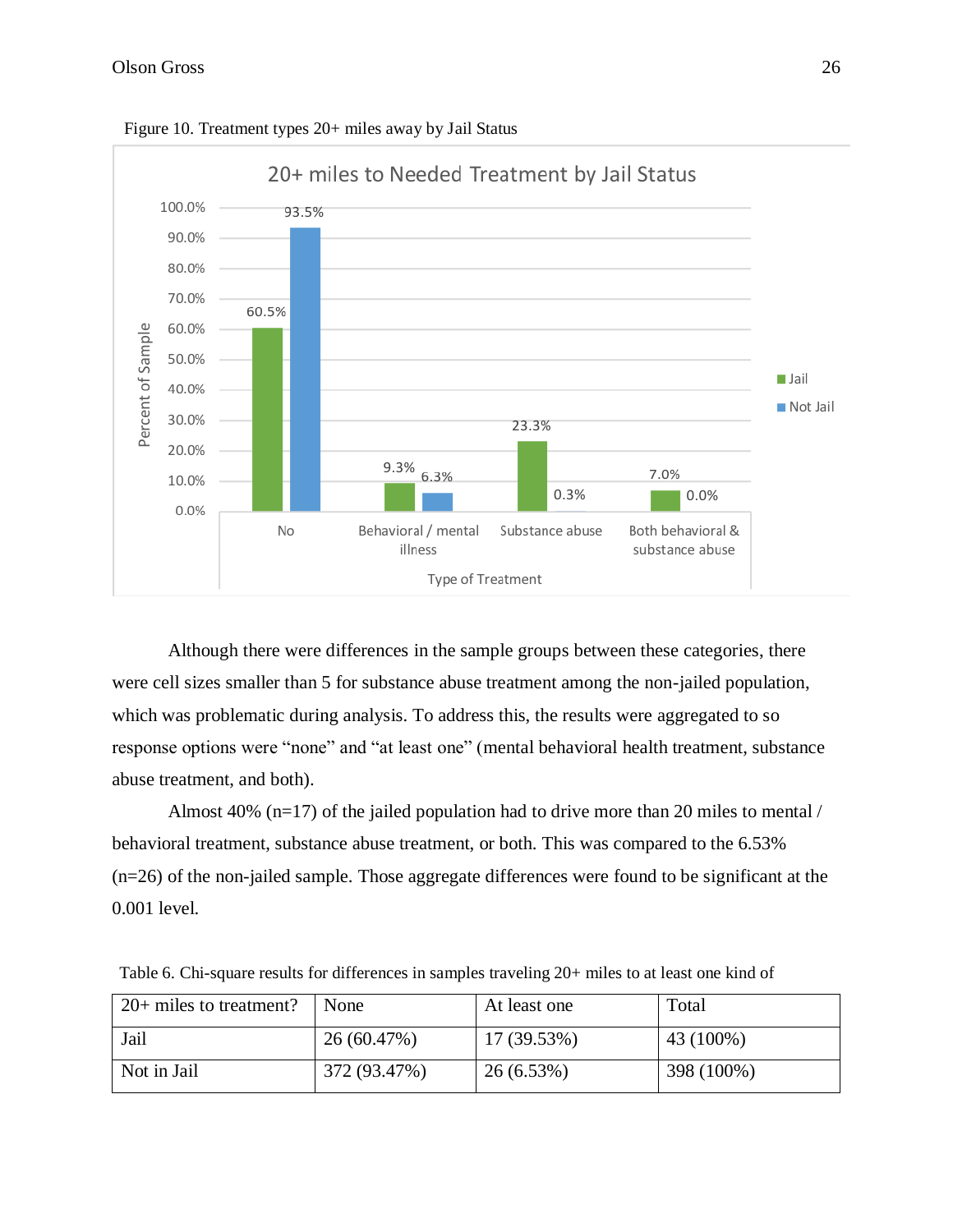

Figure 10. Treatment types 20+ miles away by Jail Status

Although there were differences in the sample groups between these categories, there were cell sizes smaller than 5 for substance abuse treatment among the non-jailed population, which was problematic during analysis. To address this, the results were aggregated to so response options were "none" and "at least one" (mental behavioral health treatment, substance abuse treatment, and both).

Almost 40% (n=17) of the jailed population had to drive more than 20 miles to mental / behavioral treatment, substance abuse treatment, or both. This was compared to the 6.53% (n=26) of the non-jailed sample. Those aggregate differences were found to be significant at the 0.001 level.

| $20+$ miles to treatment? | None         | At least one | Total      |
|---------------------------|--------------|--------------|------------|
| Jail                      | 26 (60.47%)  | 17 (39.53%)  | 43 (100%)  |
| Not in Jail               | 372 (93.47%) | 26(6.53%)    | 398 (100%) |

Table 6. Chi-square results for differences in samples traveling 20+ miles to at least one kind of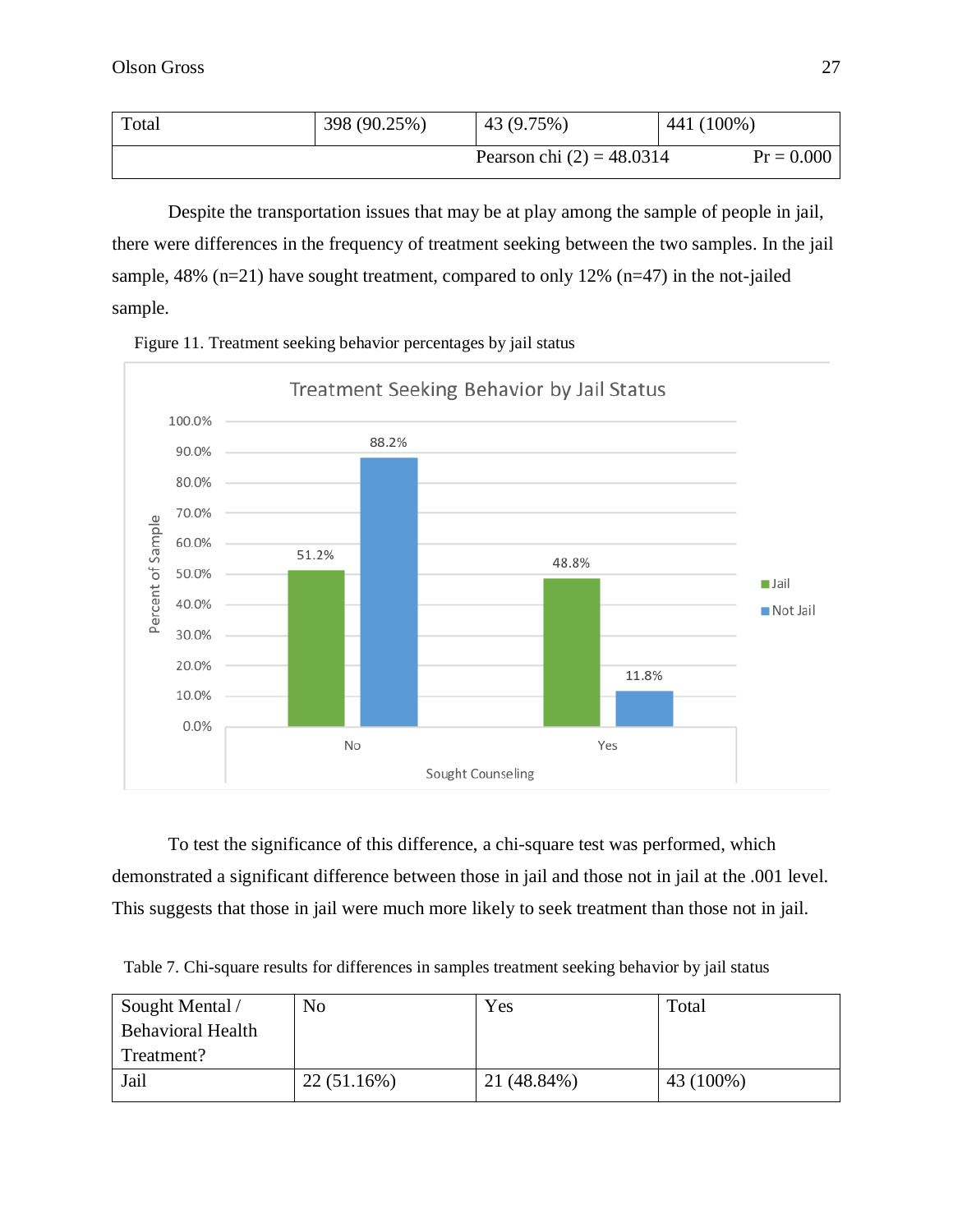| Total | 398 (90.25%) | 43 (9.75%)                  | 441 (100%)   |
|-------|--------------|-----------------------------|--------------|
|       |              | Pearson chi $(2) = 48.0314$ | $Pr = 0.000$ |

Despite the transportation issues that may be at play among the sample of people in jail, there were differences in the frequency of treatment seeking between the two samples. In the jail sample, 48% (n=21) have sought treatment, compared to only 12% (n=47) in the not-jailed sample.





To test the significance of this difference, a chi-square test was performed, which demonstrated a significant difference between those in jail and those not in jail at the .001 level. This suggests that those in jail were much more likely to seek treatment than those not in jail.

Table 7. Chi-square results for differences in samples treatment seeking behavior by jail status

| Sought Mental /          | No         | Yes         | Total     |
|--------------------------|------------|-------------|-----------|
| <b>Behavioral Health</b> |            |             |           |
| Treatment?               |            |             |           |
| Jail                     | 22(51.16%) | 21 (48.84%) | 43 (100%) |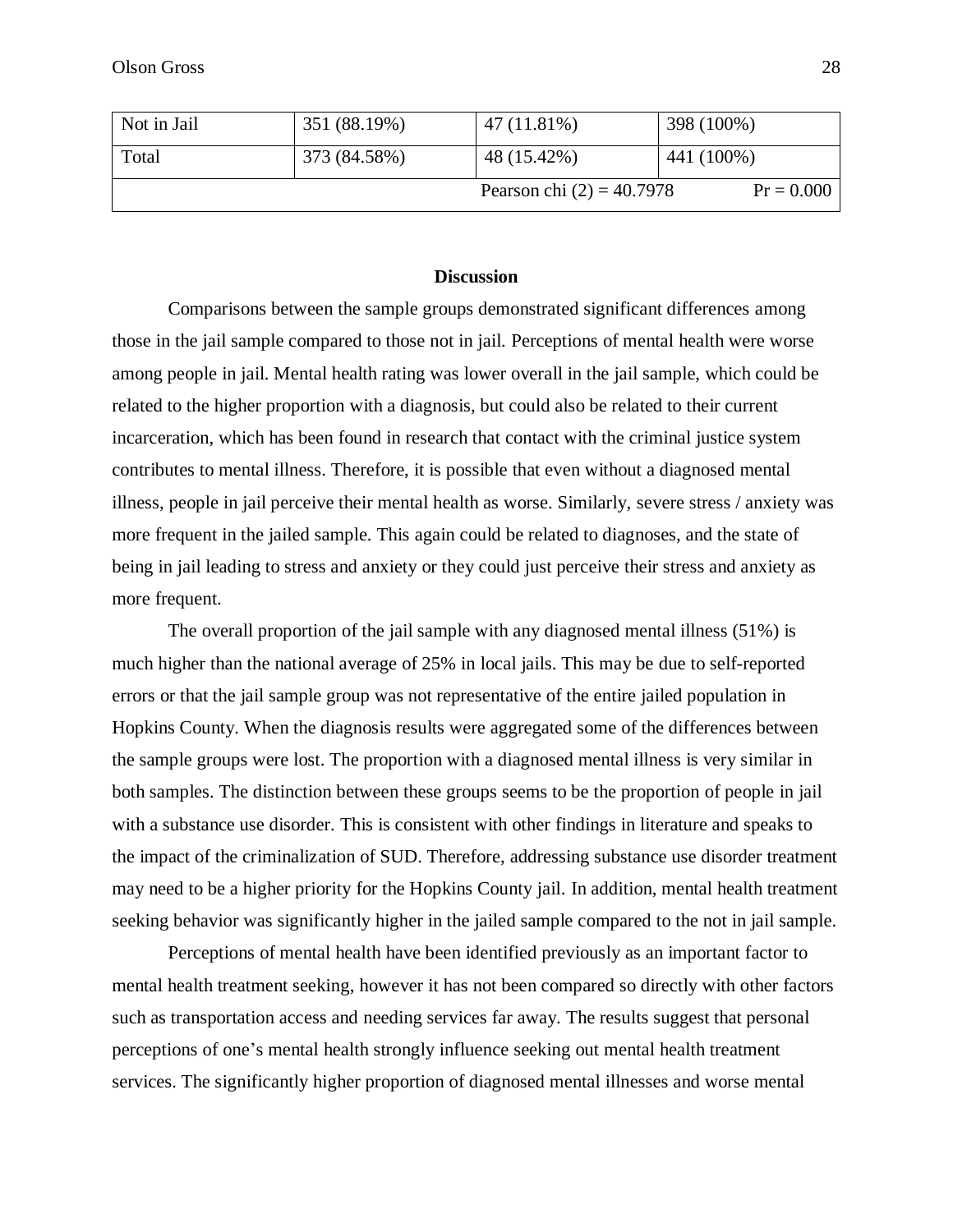| Not in Jail | 351 (88.19%) | 47 (11.81%)                 | 398 (100%)   |
|-------------|--------------|-----------------------------|--------------|
| Total       | 373 (84.58%) | 48 (15.42%)                 | 441 (100%)   |
|             |              | Pearson chi $(2) = 40.7978$ | $Pr = 0.000$ |

#### **Discussion**

Comparisons between the sample groups demonstrated significant differences among those in the jail sample compared to those not in jail. Perceptions of mental health were worse among people in jail. Mental health rating was lower overall in the jail sample, which could be related to the higher proportion with a diagnosis, but could also be related to their current incarceration, which has been found in research that contact with the criminal justice system contributes to mental illness. Therefore, it is possible that even without a diagnosed mental illness, people in jail perceive their mental health as worse. Similarly, severe stress / anxiety was more frequent in the jailed sample. This again could be related to diagnoses, and the state of being in jail leading to stress and anxiety or they could just perceive their stress and anxiety as more frequent.

The overall proportion of the jail sample with any diagnosed mental illness (51%) is much higher than the national average of 25% in local jails. This may be due to self-reported errors or that the jail sample group was not representative of the entire jailed population in Hopkins County. When the diagnosis results were aggregated some of the differences between the sample groups were lost. The proportion with a diagnosed mental illness is very similar in both samples. The distinction between these groups seems to be the proportion of people in jail with a substance use disorder. This is consistent with other findings in literature and speaks to the impact of the criminalization of SUD. Therefore, addressing substance use disorder treatment may need to be a higher priority for the Hopkins County jail. In addition, mental health treatment seeking behavior was significantly higher in the jailed sample compared to the not in jail sample.

Perceptions of mental health have been identified previously as an important factor to mental health treatment seeking, however it has not been compared so directly with other factors such as transportation access and needing services far away. The results suggest that personal perceptions of one's mental health strongly influence seeking out mental health treatment services. The significantly higher proportion of diagnosed mental illnesses and worse mental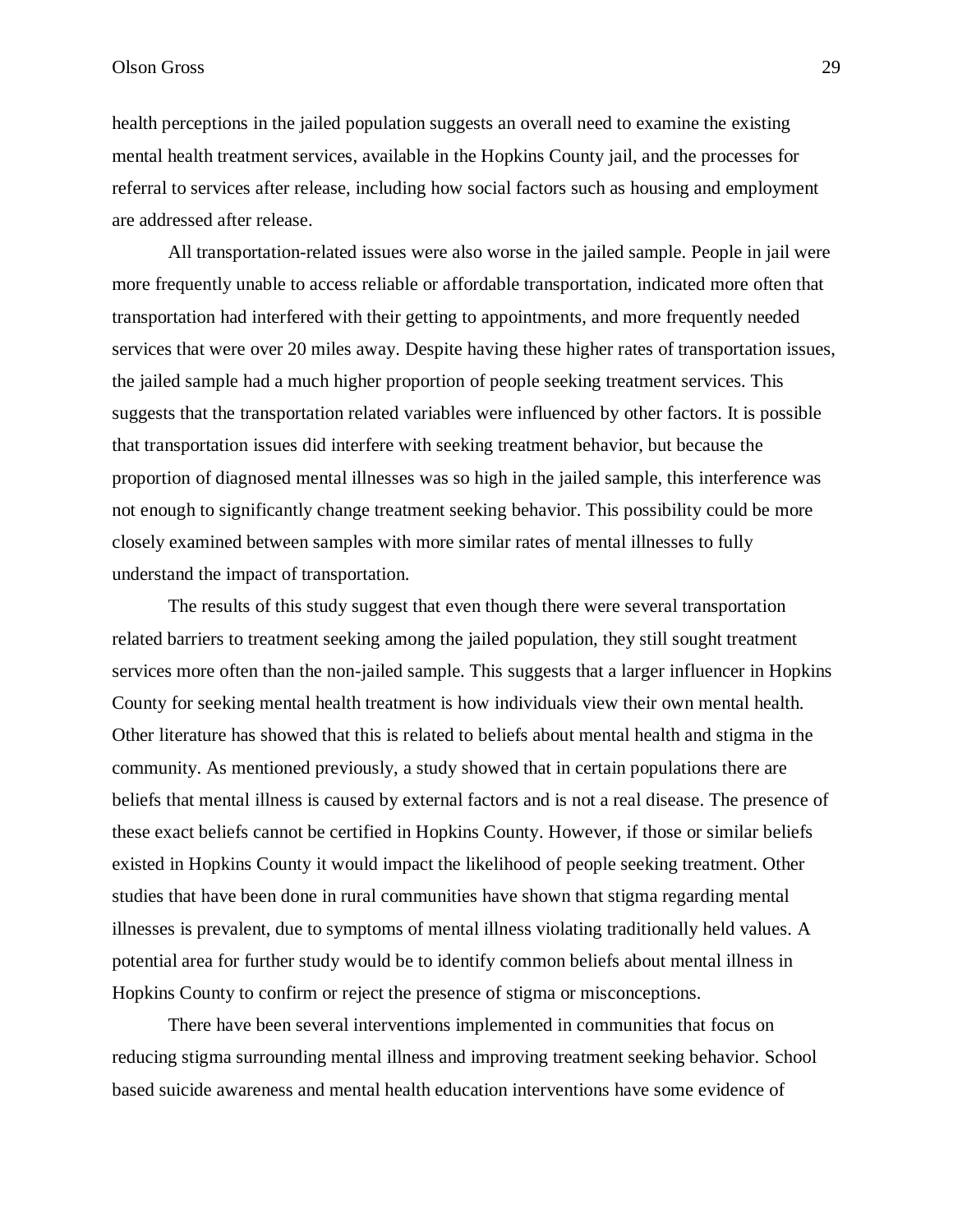## Olson Gross 29

health perceptions in the jailed population suggests an overall need to examine the existing mental health treatment services, available in the Hopkins County jail, and the processes for referral to services after release, including how social factors such as housing and employment are addressed after release.

All transportation-related issues were also worse in the jailed sample. People in jail were more frequently unable to access reliable or affordable transportation, indicated more often that transportation had interfered with their getting to appointments, and more frequently needed services that were over 20 miles away. Despite having these higher rates of transportation issues, the jailed sample had a much higher proportion of people seeking treatment services. This suggests that the transportation related variables were influenced by other factors. It is possible that transportation issues did interfere with seeking treatment behavior, but because the proportion of diagnosed mental illnesses was so high in the jailed sample, this interference was not enough to significantly change treatment seeking behavior. This possibility could be more closely examined between samples with more similar rates of mental illnesses to fully understand the impact of transportation.

The results of this study suggest that even though there were several transportation related barriers to treatment seeking among the jailed population, they still sought treatment services more often than the non-jailed sample. This suggests that a larger influencer in Hopkins County for seeking mental health treatment is how individuals view their own mental health. Other literature has showed that this is related to beliefs about mental health and stigma in the community. As mentioned previously, a study showed that in certain populations there are beliefs that mental illness is caused by external factors and is not a real disease. The presence of these exact beliefs cannot be certified in Hopkins County. However, if those or similar beliefs existed in Hopkins County it would impact the likelihood of people seeking treatment. Other studies that have been done in rural communities have shown that stigma regarding mental illnesses is prevalent, due to symptoms of mental illness violating traditionally held values. A potential area for further study would be to identify common beliefs about mental illness in Hopkins County to confirm or reject the presence of stigma or misconceptions.

There have been several interventions implemented in communities that focus on reducing stigma surrounding mental illness and improving treatment seeking behavior. School based suicide awareness and mental health education interventions have some evidence of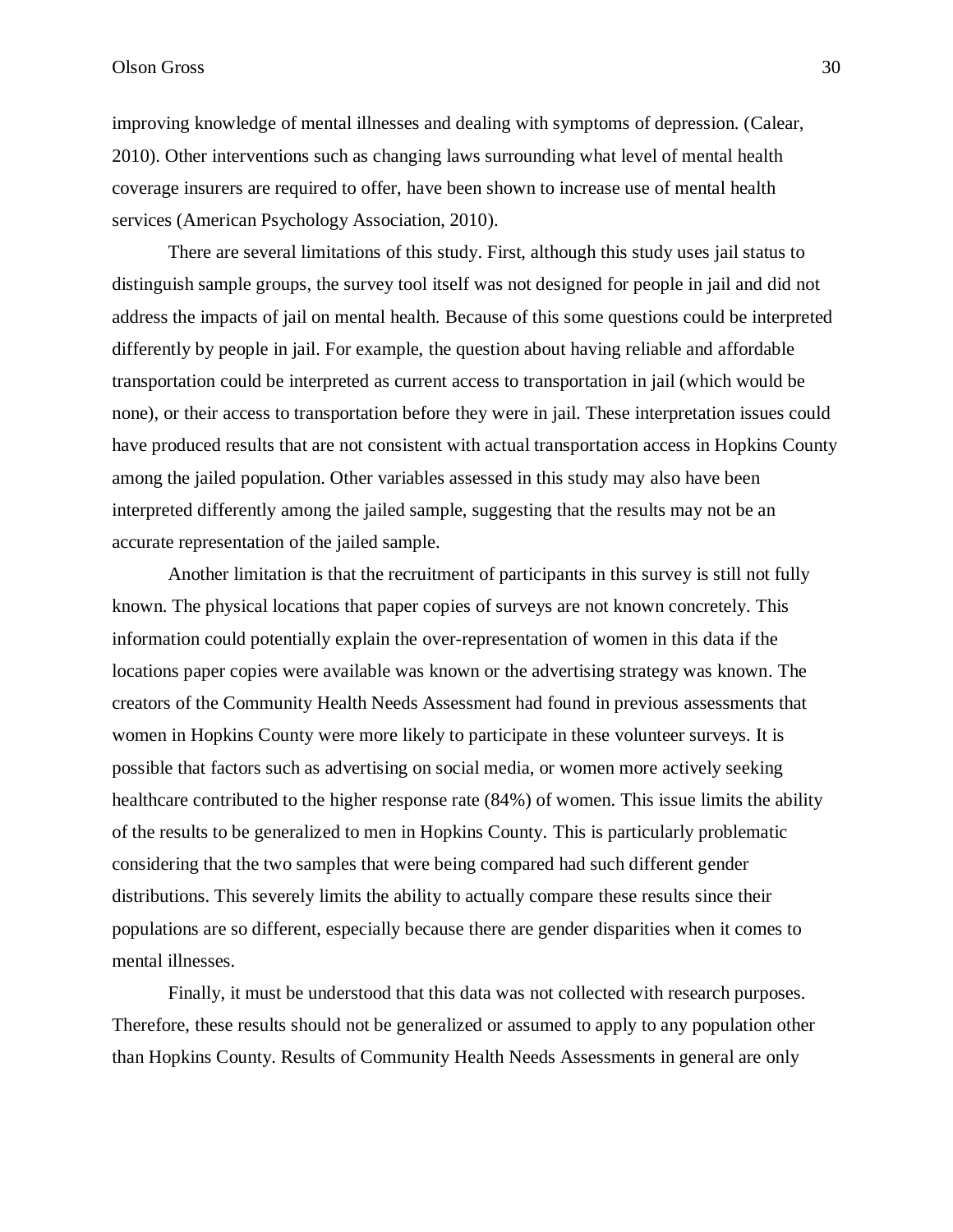## Olson Gross 30

improving knowledge of mental illnesses and dealing with symptoms of depression. (Calear, 2010). Other interventions such as changing laws surrounding what level of mental health coverage insurers are required to offer, have been shown to increase use of mental health services (American Psychology Association, 2010).

There are several limitations of this study. First, although this study uses jail status to distinguish sample groups, the survey tool itself was not designed for people in jail and did not address the impacts of jail on mental health. Because of this some questions could be interpreted differently by people in jail. For example, the question about having reliable and affordable transportation could be interpreted as current access to transportation in jail (which would be none), or their access to transportation before they were in jail. These interpretation issues could have produced results that are not consistent with actual transportation access in Hopkins County among the jailed population. Other variables assessed in this study may also have been interpreted differently among the jailed sample, suggesting that the results may not be an accurate representation of the jailed sample.

Another limitation is that the recruitment of participants in this survey is still not fully known. The physical locations that paper copies of surveys are not known concretely. This information could potentially explain the over-representation of women in this data if the locations paper copies were available was known or the advertising strategy was known. The creators of the Community Health Needs Assessment had found in previous assessments that women in Hopkins County were more likely to participate in these volunteer surveys. It is possible that factors such as advertising on social media, or women more actively seeking healthcare contributed to the higher response rate (84%) of women. This issue limits the ability of the results to be generalized to men in Hopkins County. This is particularly problematic considering that the two samples that were being compared had such different gender distributions. This severely limits the ability to actually compare these results since their populations are so different, especially because there are gender disparities when it comes to mental illnesses.

Finally, it must be understood that this data was not collected with research purposes. Therefore, these results should not be generalized or assumed to apply to any population other than Hopkins County. Results of Community Health Needs Assessments in general are only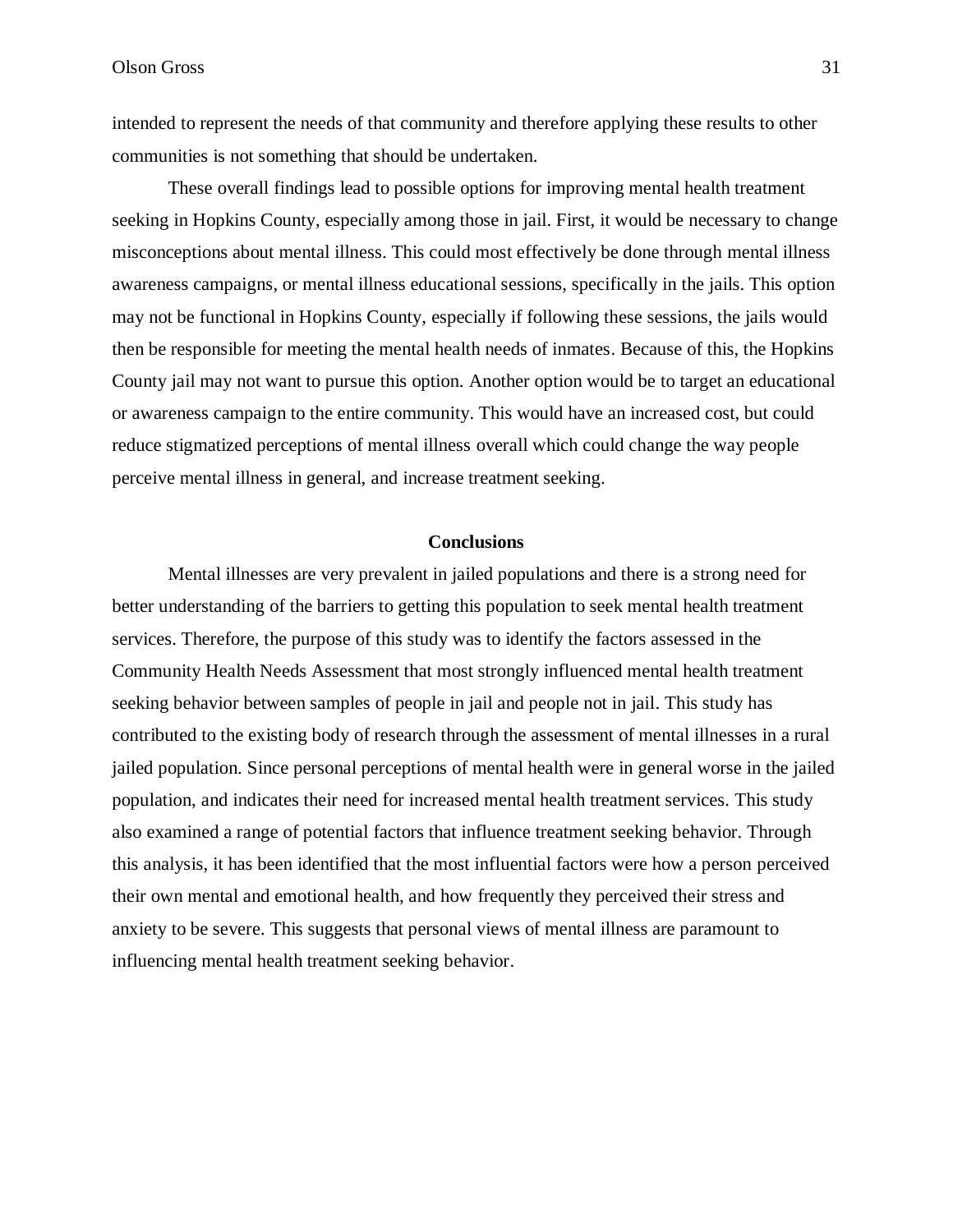intended to represent the needs of that community and therefore applying these results to other communities is not something that should be undertaken.

These overall findings lead to possible options for improving mental health treatment seeking in Hopkins County, especially among those in jail. First, it would be necessary to change misconceptions about mental illness. This could most effectively be done through mental illness awareness campaigns, or mental illness educational sessions, specifically in the jails. This option may not be functional in Hopkins County, especially if following these sessions, the jails would then be responsible for meeting the mental health needs of inmates. Because of this, the Hopkins County jail may not want to pursue this option. Another option would be to target an educational or awareness campaign to the entire community. This would have an increased cost, but could reduce stigmatized perceptions of mental illness overall which could change the way people perceive mental illness in general, and increase treatment seeking.

## **Conclusions**

Mental illnesses are very prevalent in jailed populations and there is a strong need for better understanding of the barriers to getting this population to seek mental health treatment services. Therefore, the purpose of this study was to identify the factors assessed in the Community Health Needs Assessment that most strongly influenced mental health treatment seeking behavior between samples of people in jail and people not in jail. This study has contributed to the existing body of research through the assessment of mental illnesses in a rural jailed population. Since personal perceptions of mental health were in general worse in the jailed population, and indicates their need for increased mental health treatment services. This study also examined a range of potential factors that influence treatment seeking behavior. Through this analysis, it has been identified that the most influential factors were how a person perceived their own mental and emotional health, and how frequently they perceived their stress and anxiety to be severe. This suggests that personal views of mental illness are paramount to influencing mental health treatment seeking behavior.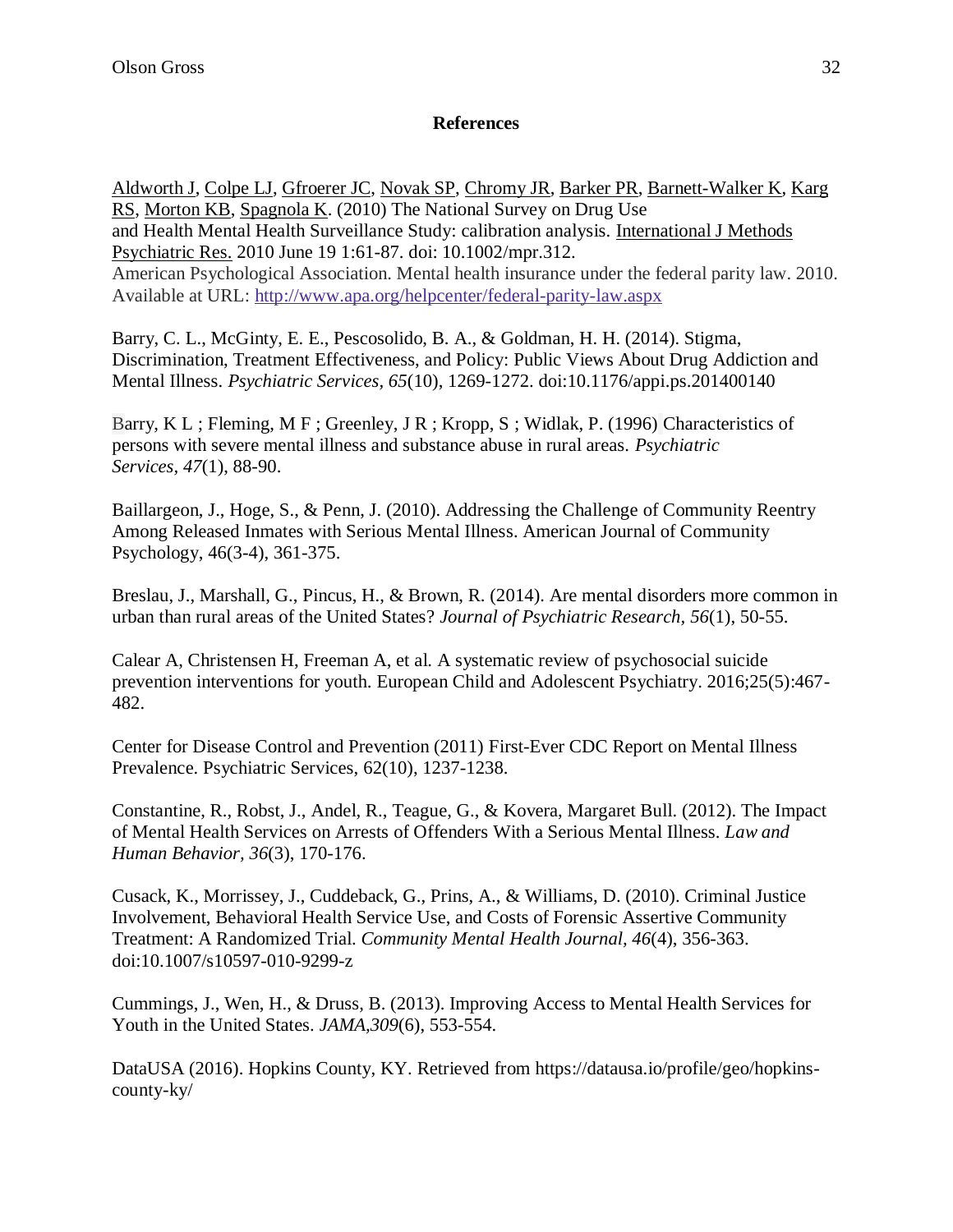## **References**

[Aldworth J,](https://www-ncbi-nlm-nih-gov.ezproxy.uky.edu/pubmed/?term=Aldworth%20J%5BAuthor%5D&cauthor=true&cauthor_uid=20527006) [Colpe LJ,](https://www-ncbi-nlm-nih-gov.ezproxy.uky.edu/pubmed/?term=Colpe%20LJ%5BAuthor%5D&cauthor=true&cauthor_uid=20527006) [Gfroerer JC,](https://www-ncbi-nlm-nih-gov.ezproxy.uky.edu/pubmed/?term=Gfroerer%20JC%5BAuthor%5D&cauthor=true&cauthor_uid=20527006) [Novak SP,](https://www-ncbi-nlm-nih-gov.ezproxy.uky.edu/pubmed/?term=Novak%20SP%5BAuthor%5D&cauthor=true&cauthor_uid=20527006) [Chromy JR,](https://www-ncbi-nlm-nih-gov.ezproxy.uky.edu/pubmed/?term=Chromy%20JR%5BAuthor%5D&cauthor=true&cauthor_uid=20527006) [Barker PR,](https://www-ncbi-nlm-nih-gov.ezproxy.uky.edu/pubmed/?term=Barker%20PR%5BAuthor%5D&cauthor=true&cauthor_uid=20527006) [Barnett-Walker K,](https://www-ncbi-nlm-nih-gov.ezproxy.uky.edu/pubmed/?term=Barnett-Walker%20K%5BAuthor%5D&cauthor=true&cauthor_uid=20527006) [Karg](https://www-ncbi-nlm-nih-gov.ezproxy.uky.edu/pubmed/?term=Karg%20RS%5BAuthor%5D&cauthor=true&cauthor_uid=20527006)  [RS,](https://www-ncbi-nlm-nih-gov.ezproxy.uky.edu/pubmed/?term=Karg%20RS%5BAuthor%5D&cauthor=true&cauthor_uid=20527006) [Morton KB,](https://www-ncbi-nlm-nih-gov.ezproxy.uky.edu/pubmed/?term=Morton%20KB%5BAuthor%5D&cauthor=true&cauthor_uid=20527006) [Spagnola K.](https://www-ncbi-nlm-nih-gov.ezproxy.uky.edu/pubmed/?term=Spagnola%20K%5BAuthor%5D&cauthor=true&cauthor_uid=20527006) (2010) The National Survey on Drug Use and Health Mental Health Surveillance Study: calibration analysis. [International J Methods](https://www-ncbi-nlm-nih-gov.ezproxy.uky.edu/pubmed/20527006)  [Psychiatric Res.](https://www-ncbi-nlm-nih-gov.ezproxy.uky.edu/pubmed/20527006) 2010 June 19 1:61-87. doi: 10.1002/mpr.312. American Psychological Association. Mental health insurance under the federal parity law. 2010. Available at URL: <http://www.apa.org/helpcenter/federal-parity-law.aspx>

Barry, C. L., McGinty, E. E., Pescosolido, B. A., & Goldman, H. H. (2014). Stigma, Discrimination, Treatment Effectiveness, and Policy: Public Views About Drug Addiction and Mental Illness. *Psychiatric Services, 65*(10), 1269-1272. doi:10.1176/appi.ps.201400140

Barry, K L ; Fleming, M F ; Greenley, J R ; Kropp, S ; Widlak, P. (1996) Characteristics of persons with severe mental illness and substance abuse in rural areas. *Psychiatric Services, 47*(1), 88-90.

Baillargeon, J., Hoge, S., & Penn, J. (2010). Addressing the Challenge of Community Reentry Among Released Inmates with Serious Mental Illness. American Journal of Community Psychology, 46(3-4), 361-375.

Breslau, J., Marshall, G., Pincus, H., & Brown, R. (2014). Are mental disorders more common in urban than rural areas of the United States? *Journal of Psychiatric Research, 56*(1), 50-55.

Calear A, Christensen H, Freeman A, et al. A systematic review of psychosocial suicide prevention interventions for youth. European Child and Adolescent Psychiatry. 2016;25(5):467- 482.

Center for Disease Control and Prevention (2011) First-Ever CDC Report on Mental Illness Prevalence. Psychiatric Services, 62(10), 1237-1238.

Constantine, R., Robst, J., Andel, R., Teague, G., & Kovera, Margaret Bull. (2012). The Impact of Mental Health Services on Arrests of Offenders With a Serious Mental Illness. *Law and Human Behavior, 36*(3), 170-176.

Cusack, K., Morrissey, J., Cuddeback, G., Prins, A., & Williams, D. (2010). Criminal Justice Involvement, Behavioral Health Service Use, and Costs of Forensic Assertive Community Treatment: A Randomized Trial. *Community Mental Health Journal, 46*(4), 356-363. doi:10.1007/s10597-010-9299-z

Cummings, J., Wen, H., & Druss, B. (2013). Improving Access to Mental Health Services for Youth in the United States. *JAMA,309*(6), 553-554.

DataUSA (2016). Hopkins County, KY. Retrieved from https://datausa.io/profile/geo/hopkinscounty-ky/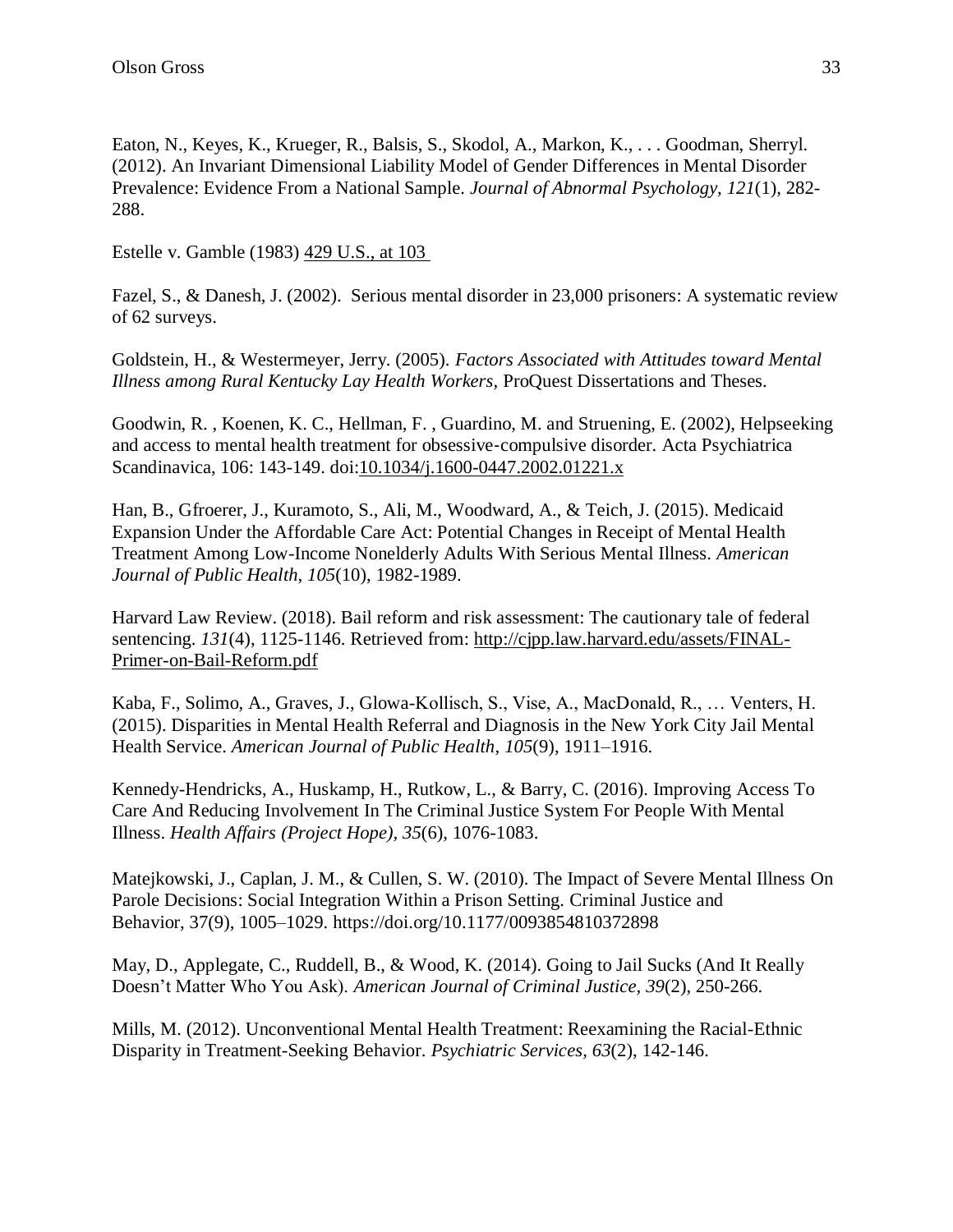Eaton, N., Keyes, K., Krueger, R., Balsis, S., Skodol, A., Markon, K., . . . Goodman, Sherryl. (2012). An Invariant Dimensional Liability Model of Gender Differences in Mental Disorder Prevalence: Evidence From a National Sample. *Journal of Abnormal Psychology, 121*(1), 282- 288.

Estelle v. Gamble (1983) [429 U.S., at 103](https://caselaw.findlaw.com/us-supreme-court/429/97.html#103) 

Fazel, S., & Danesh, J. (2002). Serious mental disorder in 23,000 prisoners: A systematic review of 62 surveys.

Goldstein, H., & Westermeyer, Jerry. (2005). *Factors Associated with Attitudes toward Mental Illness among Rural Kentucky Lay Health Workers,* ProQuest Dissertations and Theses.

Goodwin, R. , Koenen, K. C., Hellman, F. , Guardino, M. and Struening, E. (2002), Helpseeking and access to mental health treatment for obsessive‐compulsive disorder. Acta Psychiatrica Scandinavica, 106: 143-149. doi[:10.1034/j.1600-0447.2002.01221.x](https://doi-org.ezproxy.uky.edu/10.1034/j.1600-0447.2002.01221.x)

Han, B., Gfroerer, J., Kuramoto, S., Ali, M., Woodward, A., & Teich, J. (2015). Medicaid Expansion Under the Affordable Care Act: Potential Changes in Receipt of Mental Health Treatment Among Low-Income Nonelderly Adults With Serious Mental Illness. *American Journal of Public Health, 105*(10), 1982-1989.

Harvard Law Review. (2018). Bail reform and risk assessment: The cautionary tale of federal sentencing. *131*(4), 1125-1146. Retrieved from: [http://cjpp.law.harvard.edu/assets/FINAL-](http://cjpp.law.harvard.edu/assets/FINAL-Primer-on-Bail-Reform.pdf)[Primer-on-Bail-Reform.pdf](http://cjpp.law.harvard.edu/assets/FINAL-Primer-on-Bail-Reform.pdf)

Kaba, F., Solimo, A., Graves, J., Glowa-Kollisch, S., Vise, A., MacDonald, R., … Venters, H. (2015). Disparities in Mental Health Referral and Diagnosis in the New York City Jail Mental Health Service. *American Journal of Public Health*, *105*(9), 1911–1916.

Kennedy-Hendricks, A., Huskamp, H., Rutkow, L., & Barry, C. (2016). Improving Access To Care And Reducing Involvement In The Criminal Justice System For People With Mental Illness. *Health Affairs (Project Hope), 35*(6), 1076-1083.

[Matejkowski, J., Caplan, J. M., & Cullen, S. W. \(2010\). The Impact of Severe Mental Illness](file:///C:/Users/tfbo222/AppData/Local/Microsoft/Windows/INetCache/Content.Outlook/4M2RLTKH/Matejkowski,%20J.,%20Caplan,%20J.%20M.,%20&%20Cullen,%20S.%20W.%20(2010).%20The%20Impact%20of%20Severe%20Mental%20Illness%20On%20Parole%20Decisions:%20Social%20Integration%20Within%20a%20Prison%20Setting. Criminal%20Justice%20and%20Behavior, 37(9),%201005–1029.%20https:/doi.org/10.1177/0093854810372898) On [Parole Decisions: Social Integration Within a Prison Setting.](file:///C:/Users/tfbo222/AppData/Local/Microsoft/Windows/INetCache/Content.Outlook/4M2RLTKH/Matejkowski,%20J.,%20Caplan,%20J.%20M.,%20&%20Cullen,%20S.%20W.%20(2010).%20The%20Impact%20of%20Severe%20Mental%20Illness%20On%20Parole%20Decisions:%20Social%20Integration%20Within%20a%20Prison%20Setting. Criminal%20Justice%20and%20Behavior, 37(9),%201005–1029.%20https:/doi.org/10.1177/0093854810372898) Criminal Justice and Behavior, [37\(9\), 1005–1029. https://doi.org/10.1177/0093854810372898](file:///C:/Users/tfbo222/AppData/Local/Microsoft/Windows/INetCache/Content.Outlook/4M2RLTKH/Matejkowski,%20J.,%20Caplan,%20J.%20M.,%20&%20Cullen,%20S.%20W.%20(2010).%20The%20Impact%20of%20Severe%20Mental%20Illness%20On%20Parole%20Decisions:%20Social%20Integration%20Within%20a%20Prison%20Setting. Criminal%20Justice%20and%20Behavior, 37(9),%201005–1029.%20https:/doi.org/10.1177/0093854810372898)

May, D., Applegate, C., Ruddell, B., & Wood, K. (2014). Going to Jail Sucks (And It Really Doesn't Matter Who You Ask). *American Journal of Criminal Justice, 39*(2), 250-266.

Mills, M. (2012). Unconventional Mental Health Treatment: Reexamining the Racial-Ethnic Disparity in Treatment-Seeking Behavior. *Psychiatric Services, 63*(2), 142-146.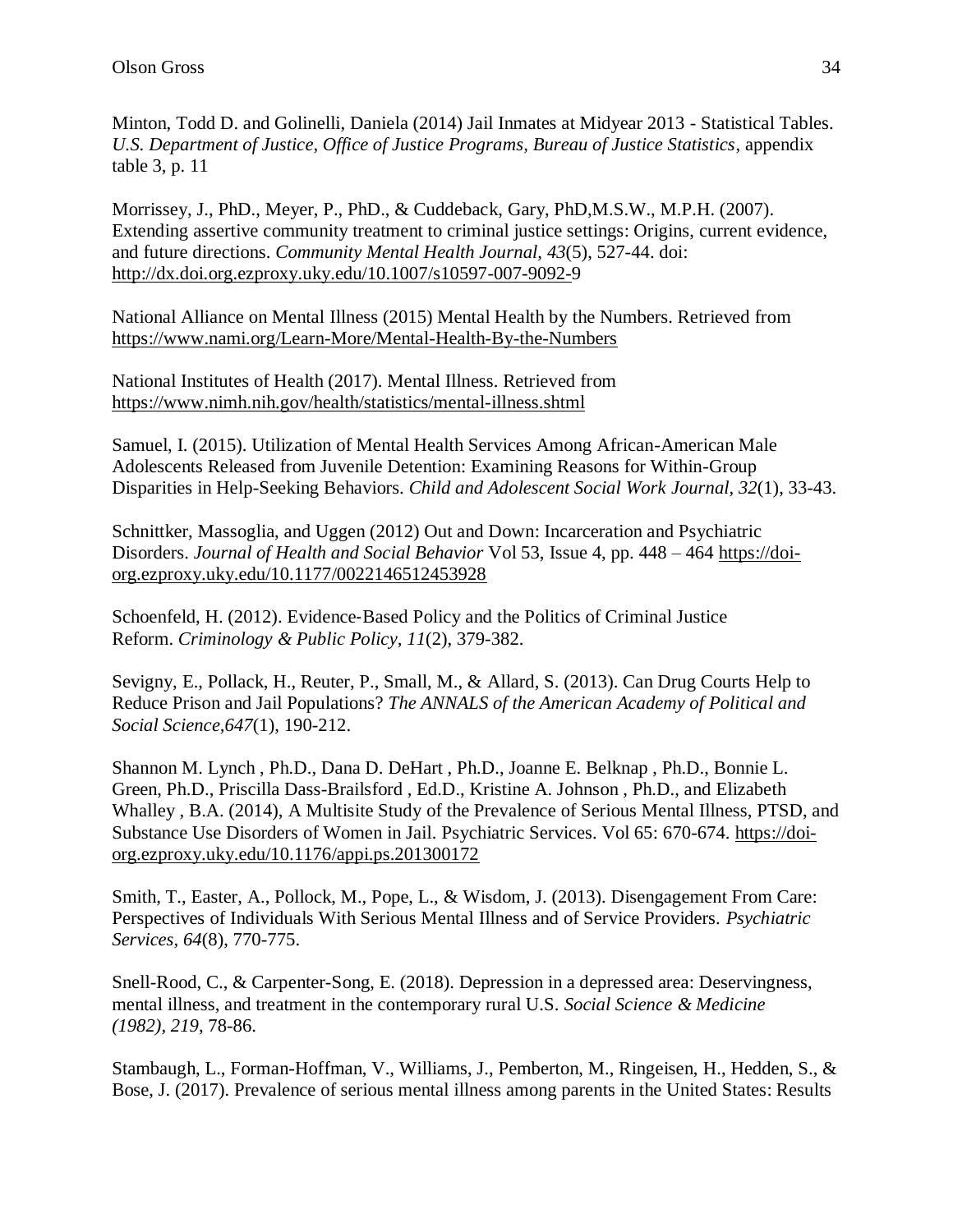Minton, Todd D. and Golinelli, Daniela (2014) Jail Inmates at Midyear 2013 - Statistical Tables. *U.S. Department of Justice, Office of Justice Programs, Bureau of Justice Statistics*, appendix table 3, p. 11

Morrissey, J., PhD., Meyer, P., PhD., & Cuddeback, Gary, PhD,M.S.W., M.P.H. (2007). Extending assertive community treatment to criminal justice settings: Origins, current evidence, and future directions. *Community Mental Health Journal, 43*(5), 527-44. doi: [http://dx.doi.org.ezproxy.uky.edu/10.1007/s10597-007-9092-9](http://dx.doi.org.ezproxy.uky.edu/10.1007/s10597-007-9092-)

National Alliance on Mental Illness (2015) Mental Health by the Numbers. Retrieved from <https://www.nami.org/Learn-More/Mental-Health-By-the-Numbers>

National Institutes of Health (2017). Mental Illness. Retrieved from <https://www.nimh.nih.gov/health/statistics/mental-illness.shtml>

Samuel, I. (2015). Utilization of Mental Health Services Among African-American Male Adolescents Released from Juvenile Detention: Examining Reasons for Within-Group Disparities in Help-Seeking Behaviors. *Child and Adolescent Social Work Journal, 32*(1), 33-43.

Schnittker, Massoglia, and Uggen (2012) Out and Down: Incarceration and Psychiatric Disorders. *Journal of Health and Social Behavior* Vol 53, Issue 4, pp. 448 – 464 [https://doi](https://doi-org.ezproxy.uky.edu/10.1177%2F0022146512453928)[org.ezproxy.uky.edu/10.1177/0022146512453928](https://doi-org.ezproxy.uky.edu/10.1177%2F0022146512453928)

Schoenfeld, H. (2012). Evidence-Based Policy and the Politics of Criminal Justice Reform. *Criminology & Public Policy, 11*(2), 379-382.

Sevigny, E., Pollack, H., Reuter, P., Small, M., & Allard, S. (2013). Can Drug Courts Help to Reduce Prison and Jail Populations? *The ANNALS of the American Academy of Political and Social Science,647*(1), 190-212.

Shannon M. Lynch , Ph.D., Dana D. DeHart , Ph.D., Joanne E. Belknap , Ph.D., Bonnie L. Green, Ph.D., Priscilla Dass-Brailsford , Ed.D., Kristine A. Johnson , Ph.D., and Elizabeth Whalley , B.A. (2014), A Multisite Study of the Prevalence of Serious Mental Illness, PTSD, and Substance Use Disorders of Women in Jail*.* Psychiatric Services. Vol 65: 670-674. [https://doi](https://doi-org.ezproxy.uky.edu/10.1176/appi.ps.201300172)[org.ezproxy.uky.edu/10.1176/appi.ps.201300172](https://doi-org.ezproxy.uky.edu/10.1176/appi.ps.201300172)

Smith, T., Easter, A., Pollock, M., Pope, L., & Wisdom, J. (2013). Disengagement From Care: Perspectives of Individuals With Serious Mental Illness and of Service Providers. *Psychiatric Services, 64*(8), 770-775.

Snell-Rood, C., & Carpenter-Song, E. (2018). Depression in a depressed area: Deservingness, mental illness, and treatment in the contemporary rural U.S. *Social Science & Medicine (1982), 219*, 78-86.

Stambaugh, L., Forman-Hoffman, V., Williams, J., Pemberton, M., Ringeisen, H., Hedden, S., & Bose, J. (2017). Prevalence of serious mental illness among parents in the United States: Results